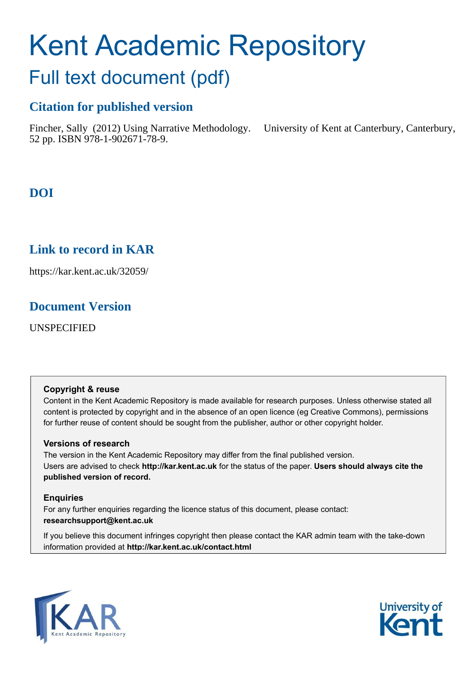# Kent Academic Repository

## Full text document (pdf)

## **Citation for published version**

Fincher, Sally (2012) Using Narrative Methodology. University of Kent at Canterbury, Canterbury, 52 pp. ISBN 978-1-902671-78-9.

## **DOI**

### **Link to record in KAR**

https://kar.kent.ac.uk/32059/

### **Document Version**

UNSPECIFIED

#### **Copyright & reuse**

Content in the Kent Academic Repository is made available for research purposes. Unless otherwise stated all content is protected by copyright and in the absence of an open licence (eg Creative Commons), permissions for further reuse of content should be sought from the publisher, author or other copyright holder.

#### **Versions of research**

The version in the Kent Academic Repository may differ from the final published version. Users are advised to check **http://kar.kent.ac.uk** for the status of the paper. **Users should always cite the published version of record.**

#### **Enquiries**

For any further enquiries regarding the licence status of this document, please contact: **researchsupport@kent.ac.uk**

If you believe this document infringes copyright then please contact the KAR admin team with the take-down information provided at **http://kar.kent.ac.uk/contact.html**



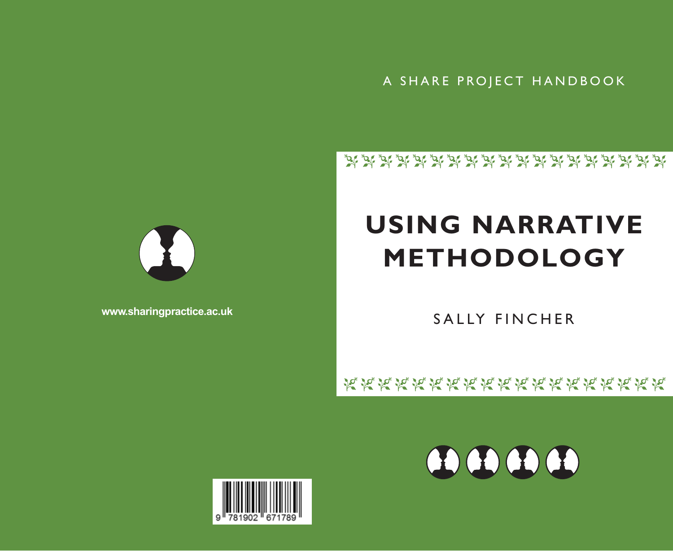A SHARE PROJECT HANDBOOK

### did did ka did did did did did did did di

## **USING NARRATIVE METHODOLOGY**

SALLY FINCHER

**KKKKKKKKKKKKKKKK** 





**www.sharingpractice.ac.uk**

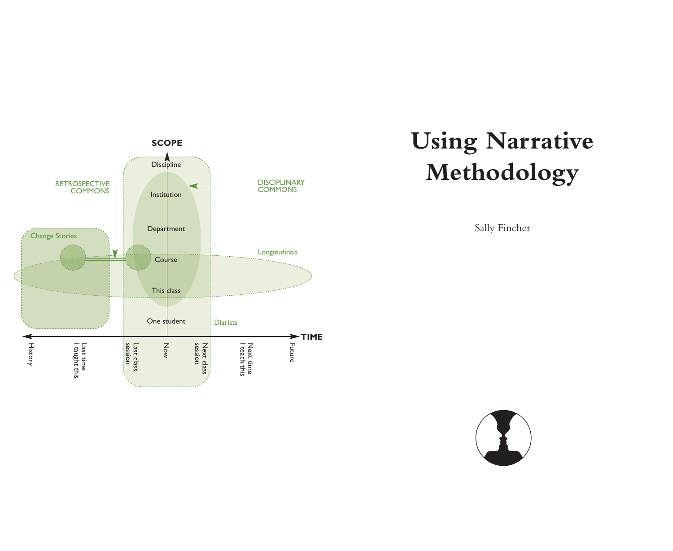

## **Using Narrative Methodology**

Sally Fincher

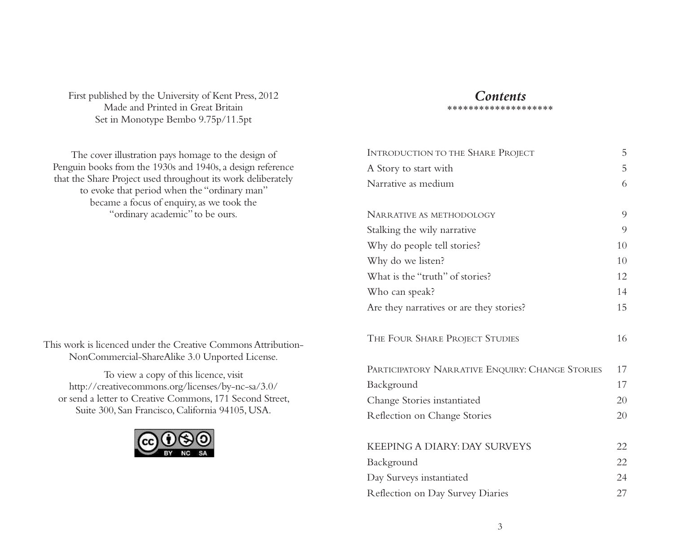First published by the University of Kent Press, 2012 Made and Printed in Great Britain Set in Monotype Bembo 9.75p/11.5pt

The cover illustration pays homage to the design of Penguin books from the 1930s and 1940s, a design reference that the Share Project used throughout its work deliberately to evoke that period when the "ordinary man" became a focus of enquiry, as we took the "ordinary academic" to be ours.

This work is licenced under the Creative Commons Attribution-NonCommercial-ShareAlike 3.0 Unported License.

To view a copy of this licence, visit http://creativecommons.org/licenses/by-nc-sa/3.0/ or send a letter to Creative Commons, 171 Second Street, Suite 300, San Francisco, California 94105, USA.



#### *Contents* \*\*\*\*\*\*\*\*\*\*\*\*\*\*\*\*\*\*\*\*\*\*\*\*\*

| <b>INTRODUCTION TO THE SHARE PROJECT</b>        |    |  |  |  |
|-------------------------------------------------|----|--|--|--|
| A Story to start with                           |    |  |  |  |
| Narrative as medium                             |    |  |  |  |
|                                                 |    |  |  |  |
| NARRATIVE AS METHODOLOGY                        |    |  |  |  |
| Stalking the wily narrative                     |    |  |  |  |
| Why do people tell stories?                     | 10 |  |  |  |
| Why do we listen?                               | 10 |  |  |  |
| What is the "truth" of stories?                 | 12 |  |  |  |
| Who can speak?                                  | 14 |  |  |  |
| Are they narratives or are they stories?        | 15 |  |  |  |
|                                                 |    |  |  |  |
| THE FOUR SHARE PROJECT STUDIES                  | 16 |  |  |  |
|                                                 |    |  |  |  |
| PARTICIPATORY NARRATIVE ENQUIRY: CHANGE STORIES | 17 |  |  |  |
| Background                                      | 17 |  |  |  |
| Change Stories instantiated                     | 20 |  |  |  |
| Reflection on Change Stories                    | 20 |  |  |  |
|                                                 |    |  |  |  |
| KEEPING A DIARY: DAY SURVEYS                    | 22 |  |  |  |
| Background                                      | 22 |  |  |  |
| Day Surveys instantiated                        | 24 |  |  |  |
| Reflection on Day Survey Diaries                |    |  |  |  |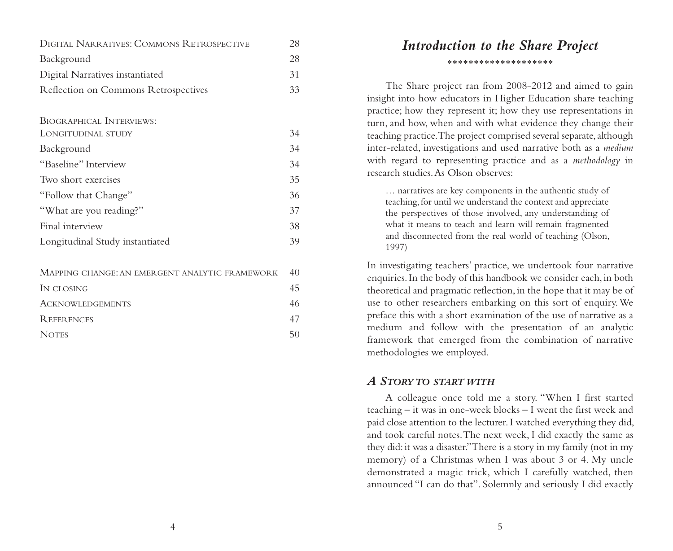| <b>DIGITAL NARRATIVES: COMMONS RETROSPECTIVE</b> |    |  |  |  |
|--------------------------------------------------|----|--|--|--|
| Background                                       |    |  |  |  |
| Digital Narratives instantiated                  |    |  |  |  |
| <b>Reflection on Commons Retrospectives</b>      | 33 |  |  |  |
| <b>BIOGRAPHICAL INTERVIEWS:</b>                  |    |  |  |  |
| LONGITUDINAL STUDY                               | 34 |  |  |  |
| Background                                       | 34 |  |  |  |
| "Baseline" Interview                             | 34 |  |  |  |
| Two short exercises                              | 35 |  |  |  |
| "Follow that Change"                             | 36 |  |  |  |
| "What are you reading?"                          | 37 |  |  |  |
| Final interview                                  | 38 |  |  |  |
| Longitudinal Study instantiated                  | 39 |  |  |  |
| MAPPING CHANGE: AN EMERGENT ANALYTIC FRAMEWORK   | 40 |  |  |  |

| 45 |
|----|
| 46 |
|    |
| 50 |
|    |

#### *Introduction to the Share Project* \*\*\*\*\*\*\*\*\*\*\*\*\*\*\*\*\*\*\*\*

The Share project ran from 2008-2012 and aimed to gain insight into how educators in Higher Education share teaching practice; how they represent it; how they use representations in turn, and how, when and with what evidence they change their teaching practice. The project comprised several separate, although inter-related, investigations and used narrative both as a *medium* with regard to representing practice and as a *methodology* in research studies. As Olson observes:

… narratives are key components in the authentic study of teaching, for until we understand the context and appreciate the perspectives of those involved, any understanding of what it means to teach and learn will remain fragmented and disconnected from the real world of teaching (Olson, 1997)

In investigating teachers' practice, we undertook four narrative enquiries. In the body of this handbook we consider each, in both theoretical and pragmatic reflection, in the hope that it may be of use to other researchers embarking on this sort of enquiry. We preface this with a short examination of the use of narrative as a medium and follow with the presentation of an analytic framework that emerged from the combination of narrative methodologies we employed.

#### *A STORY TO START WITH*

A colleague once told me a story. "When I first started teaching – it was in one-week blocks – I went the first week and paid close attention to the lecturer. I watched everything they did, and took careful notes. The next week, I did exactly the same as they did: it was a disaster." There is a story in my family (not in my memory) of a Christmas when I was about 3 or 4. My uncle demonstrated a magic trick, which I carefully watched, then announced "I can do that". Solemnly and seriously I did exactly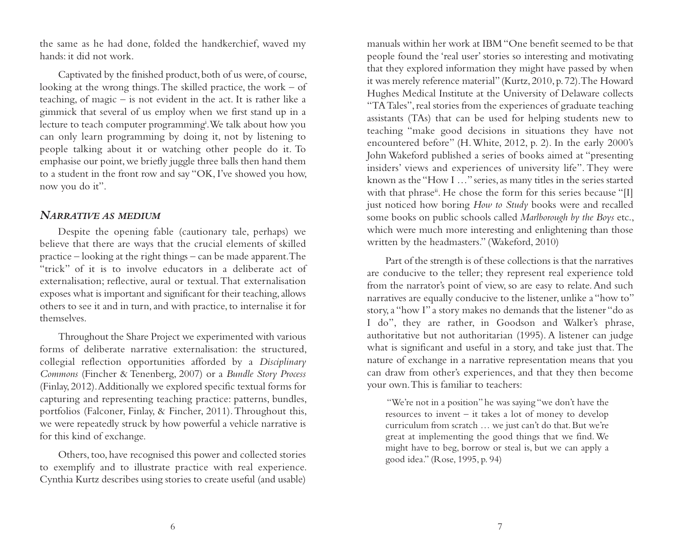the same as he had done, folded the handkerchief, waved my hands: it did not work.

Captivated by the finished product, both of us were, of course, looking at the wrong things. The skilled practice, the work – of teaching, of magic – is not evident in the act. It is rather like a gimmick that several of us employ when we first stand up in a lecture to teach computer programming<sup>i</sup> . We talk about how you can only learn programming by doing it, not by listening to people talking about it or watching other people do it. To emphasise our point, we briefly juggle three balls then hand them to a student in the front row and say "OK, I've showed you how, now you do it".

#### *NARRATIVE AS MEDIUM*

Despite the opening fable (cautionary tale, perhaps) we believe that there are ways that the crucial elements of skilled practice – looking at the right things – can be made apparent. The "trick" of it is to involve educators in a deliberate act of externalisation; reflective, aural or textual. That externalisation exposes what is important and significant for their teaching, allows others to see it and in turn, and with practice, to internalise it for themselves.

Throughout the Share Project we experimented with various forms of deliberate narrative externalisation: the structured, collegial reflection opportunities afforded by a *Disciplinary Commons* (Fincher & Tenenberg, 2007) or a *Bundle Story Process* (Finlay, 2012). Additionally we explored specific textual forms for capturing and representing teaching practice: patterns, bundles, portfolios (Falconer, Finlay, & Fincher, 2011). Throughout this, we were repeatedly struck by how powerful a vehicle narrative is for this kind of exchange.

Others, too, have recognised this power and collected stories to exemplify and to illustrate practice with real experience. Cynthia Kurtz describes using stories to create useful (and usable)

manuals within her work at IBM "One benefit seemed to be that people found the 'real user' stories so interesting and motivating that they explored information they might have passed by when it was merely reference material" (Kurtz, 2010, p. 72). The Howard Hughes Medical Institute at the University of Delaware collects "TA Tales", real stories from the experiences of graduate teaching assistants (TAs) that can be used for helping students new to teaching "make good decisions in situations they have not encountered before" (H. White, 2012, p. 2). In the early 2000's John Wakeford published a series of books aimed at "presenting insiders' views and experiences of university life". They were known as the "How I …" series, as many titles in the series started with that phrase<sup>ii</sup>. He chose the form for this series because "[I] just noticed how boring *How to Study* books were and recalled some books on public schools called *Marlborough by the Boys* etc., which were much more interesting and enlightening than those written by the headmasters." (Wakeford, 2010)

Part of the strength is of these collections is that the narratives are conducive to the teller; they represent real experience told from the narrator's point of view, so are easy to relate. And such narratives are equally conducive to the listener, unlike a "how to" story, a "how I" a story makes no demands that the listener "do as I do", they are rather, in Goodson and Walker's phrase, authoritative but not authoritarian (1995). A listener can judge what is significant and useful in a story, and take just that. The nature of exchange in a narrative representation means that you can draw from other's experiences, and that they then become your own. This is familiar to teachers:

"We're not in a position" he was saying "we don't have the resources to invent – it takes a lot of money to develop curriculum from scratch … we just can't do that. But we're great at implementing the good things that we find. We might have to beg, borrow or steal is, but we can apply a good idea." (Rose, 1995, p. 94)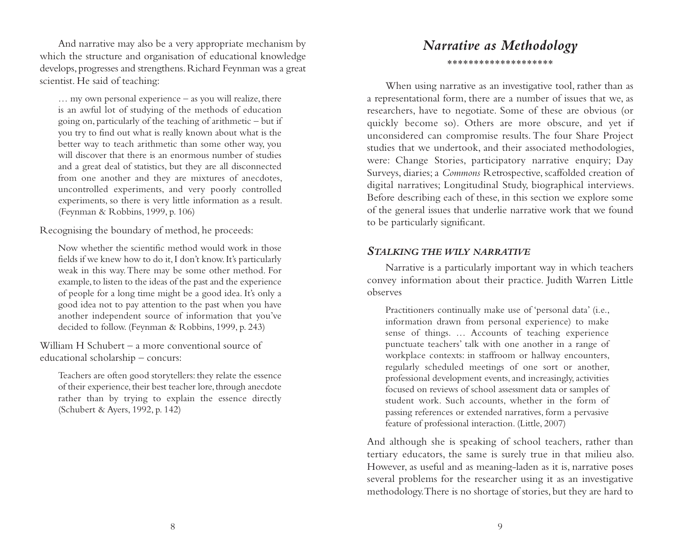And narrative may also be a very appropriate mechanism by which the structure and organisation of educational knowledge develops, progresses and strengthens. Richard Feynman was a great scientist. He said of teaching:

… my own personal experience – as you will realize, there is an awful lot of studying of the methods of education going on, particularly of the teaching of arithmetic – but if you try to find out what is really known about what is the better way to teach arithmetic than some other way, you will discover that there is an enormous number of studies and a great deal of statistics, but they are all disconnected from one another and they are mixtures of anecdotes, uncontrolled experiments, and very poorly controlled experiments, so there is very little information as a result. (Feynman & Robbins, 1999, p. 106)

Recognising the boundary of method, he proceeds:

Now whether the scientific method would work in those fields if we knew how to do it, I don't know. It's particularly weak in this way. There may be some other method. For example, to listen to the ideas of the past and the experience of people for a long time might be a good idea. It's only a good idea not to pay attention to the past when you have another independent source of information that you've decided to follow. (Feynman & Robbins, 1999, p. 243)

William H Schubert – a more conventional source of educational scholarship – concurs:

Teachers are often good storytellers: they relate the essence of their experience, their best teacher lore, through anecdote rather than by trying to explain the essence directly (Schubert & Ayers, 1992, p. 142)

#### *Narrative as Methodology* \*\*\*\*\*\*\*\*\*\*\*\*\*\*\*\*\*\*\*\*

When using narrative as an investigative tool, rather than as a representational form, there are a number of issues that we, as researchers, have to negotiate. Some of these are obvious (or quickly become so). Others are more obscure, and yet if unconsidered can compromise results. The four Share Project studies that we undertook, and their associated methodologies, were: Change Stories, participatory narrative enquiry; Day Surveys, diaries; a *Commons* Retrospective, scaffolded creation of digital narratives; Longitudinal Study, biographical interviews. Before describing each of these, in this section we explore some of the general issues that underlie narrative work that we found to be particularly significant.

#### *STALKING THE WILY NARRATIVE*

Narrative is a particularly important way in which teachers convey information about their practice. Judith Warren Little observes

Practitioners continually make use of 'personal data' (i.e., information drawn from personal experience) to make sense of things. … Accounts of teaching experience punctuate teachers' talk with one another in a range of workplace contexts: in staffroom or hallway encounters, regularly scheduled meetings of one sort or another, professional development events, and increasingly, activities focused on reviews of school assessment data or samples of student work. Such accounts, whether in the form of passing references or extended narratives, form a pervasive feature of professional interaction. (Little, 2007)

And although she is speaking of school teachers, rather than tertiary educators, the same is surely true in that milieu also. However, as useful and as meaning-laden as it is, narrative poses several problems for the researcher using it as an investigative methodology. There is no shortage of stories, but they are hard to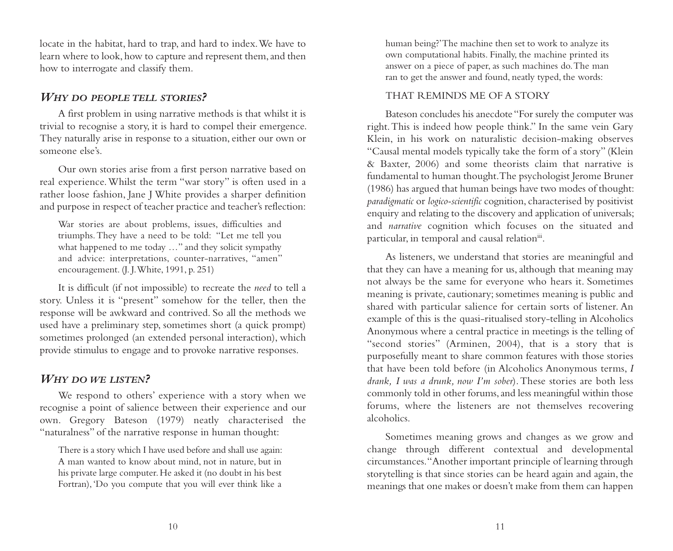locate in the habitat, hard to trap, and hard to index. We have to learn where to look, how to capture and represent them, and then how to interrogate and classify them.

#### *WHY DO PEOPLE TELL STORIES?*

A first problem in using narrative methods is that whilst it is trivial to recognise a story, it is hard to compel their emergence. They naturally arise in response to a situation, either our own or someone else's.

Our own stories arise from a first person narrative based on real experience. Whilst the term "war story" is often used in a rather loose fashion, Jane J White provides a sharper definition and purpose in respect of teacher practice and teacher's reflection:

War stories are about problems, issues, difficulties and triumphs. They have a need to be told: "Let me tell you what happened to me today …" and they solicit sympathy and advice: interpretations, counter-narratives, "amen" encouragement. (J. J. White, 1991, p. 251)

It is difficult (if not impossible) to recreate the *need* to tell a story. Unless it is "present" somehow for the teller, then the response will be awkward and contrived. So all the methods we used have a preliminary step, sometimes short (a quick prompt) sometimes prolonged (an extended personal interaction), which provide stimulus to engage and to provoke narrative responses.

#### *WHY DO WE LISTEN?*

We respond to others' experience with a story when we recognise a point of salience between their experience and our own. Gregory Bateson (1979) neatly characterised the "naturalness" of the narrative response in human thought:

There is a story which I have used before and shall use again: A man wanted to know about mind, not in nature, but in his private large computer. He asked it (no doubt in his best Fortran), 'Do you compute that you will ever think like a

human being?' The machine then set to work to analyze its own computational habits. Finally, the machine printed its answer on a piece of paper, as such machines do. The man ran to get the answer and found, neatly typed, the words:

#### THAT REMINDS ME OF A STORY

Bateson concludes his anecdote "For surely the computer was right. This is indeed how people think." In the same vein Gary Klein, in his work on naturalistic decision-making observes "Causal mental models typically take the form of a story" (Klein & Baxter, 2006) and some theorists claim that narrative is fundamental to human thought. The psychologist Jerome Bruner (1986) has argued that human beings have two modes of thought: *paradigmatic* or *logico-scientific* cognition, characterised by positivist enquiry and relating to the discovery and application of universals; and *narrative* cognition which focuses on the situated and particular, in temporal and causal relation<sup>iii</sup>.

As listeners, we understand that stories are meaningful and that they can have a meaning for us, although that meaning may not always be the same for everyone who hears it. Sometimes meaning is private, cautionary; sometimes meaning is public and shared with particular salience for certain sorts of listener. An example of this is the quasi-ritualised story-telling in Alcoholics Anonymous where a central practice in meetings is the telling of "second stories" (Arminen, 2004), that is a story that is purposefully meant to share common features with those stories that have been told before (in Alcoholics Anonymous terms, *I drank, I was a drunk, now I'm sober*). These stories are both less commonly told in other forums, and less meaningful within those forums, where the listeners are not themselves recovering alcoholics.

Sometimes meaning grows and changes as we grow and change through different contextual and developmental circumstances. "Another important principle of learning through storytelling is that since stories can be heard again and again, the meanings that one makes or doesn't make from them can happen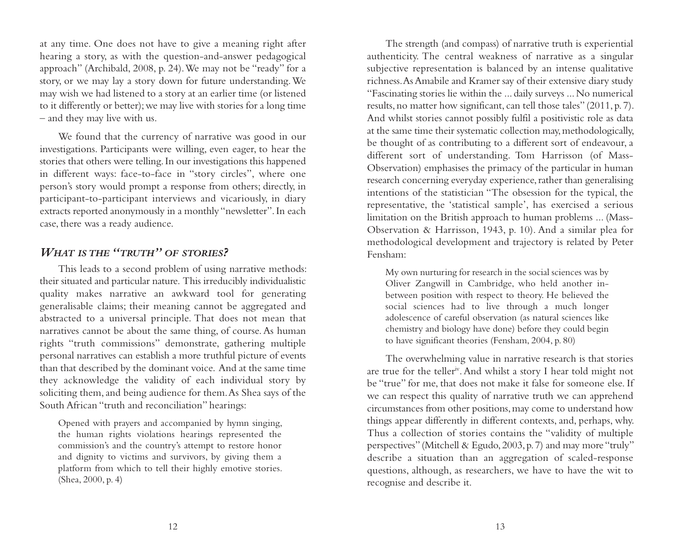at any time. One does not have to give a meaning right after hearing a story, as with the question-and-answer pedagogical approach" (Archibald, 2008, p. 24). We may not be "ready" for a story, or we may lay a story down for future understanding. We may wish we had listened to a story at an earlier time (or listened to it differently or better); we may live with stories for a long time – and they may live with us.

We found that the currency of narrative was good in our investigations. Participants were willing, even eager, to hear the stories that others were telling. In our investigations this happened in different ways: face-to-face in "story circles", where one person's story would prompt a response from others; directly, in participant-to-participant interviews and vicariously, in diary extracts reported anonymously in a monthly "newsletter". In each case, there was a ready audience.

#### *WHAT IS THE "TRUTH" OF STORIES?*

This leads to a second problem of using narrative methods: their situated and particular nature. This irreducibly individualistic quality makes narrative an awkward tool for generating generalisable claims; their meaning cannot be aggregated and abstracted to a universal principle. That does not mean that narratives cannot be about the same thing, of course. As human rights "truth commissions" demonstrate, gathering multiple personal narratives can establish a more truthful picture of events than that described by the dominant voice. And at the same time they acknowledge the validity of each individual story by soliciting them, and being audience for them. As Shea says of the South African "truth and reconciliation" hearings:

Opened with prayers and accompanied by hymn singing, the human rights violations hearings represented the commission's and the country's attempt to restore honor and dignity to victims and survivors, by giving them a platform from which to tell their highly emotive stories. (Shea, 2000, p. 4)

The strength (and compass) of narrative truth is experiential authenticity. The central weakness of narrative as a singular subjective representation is balanced by an intense qualitative richness. As Amabile and Kramer say of their extensive diary study "Fascinating stories lie within the ... daily surveys ... No numerical results, no matter how significant, can tell those tales" (2011, p. 7). And whilst stories cannot possibly fulfil a positivistic role as data at the same time their systematic collection may, methodologically, be thought of as contributing to a different sort of endeavour, a different sort of understanding. Tom Harrisson (of Mass-Observation) emphasises the primacy of the particular in human research concerning everyday experience, rather than generalising intentions of the statistician "The obsession for the typical, the representative, the 'statistical sample', has exercised a serious limitation on the British approach to human problems ... (Mass-Observation & Harrisson, 1943, p. 10). And a similar plea for methodological development and trajectory is related by Peter Fensham:

My own nurturing for research in the social sciences was by Oliver Zangwill in Cambridge, who held another inbetween position with respect to theory. He believed the social sciences had to live through a much longer adolescence of careful observation (as natural sciences like chemistry and biology have done) before they could begin to have significant theories (Fensham, 2004, p. 80)

The overwhelming value in narrative research is that stories are true for the telleriv. And whilst a story I hear told might not be "true" for me, that does not make it false for someone else. If we can respect this quality of narrative truth we can apprehend circumstances from other positions, may come to understand how things appear differently in different contexts, and, perhaps, why. Thus a collection of stories contains the "validity of multiple perspectives" (Mitchell & Egudo, 2003, p. 7) and may more "truly" describe a situation than an aggregation of scaled-response questions, although, as researchers, we have to have the wit to recognise and describe it.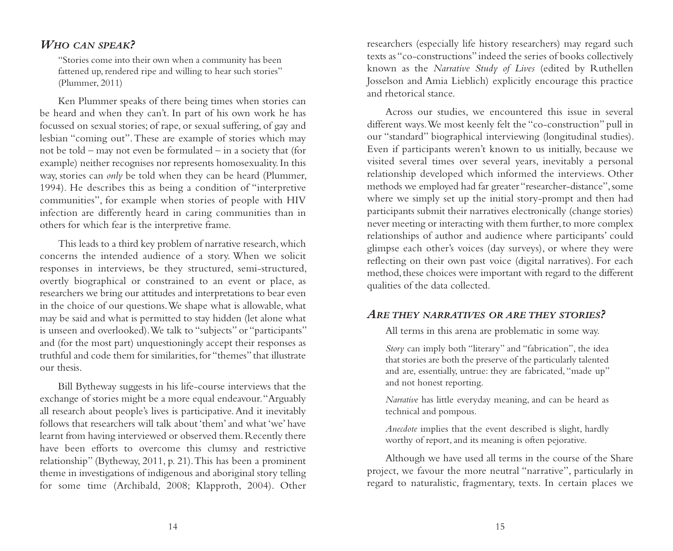#### *WHO CAN SPEAK?*

"Stories come into their own when a community has been fattened up, rendered ripe and willing to hear such stories" (Plummer, 2011)

Ken Plummer speaks of there being times when stories can be heard and when they can't. In part of his own work he has focussed on sexual stories; of rape, or sexual suffering, of gay and lesbian "coming out". These are example of stories which may not be told – may not even be formulated – in a society that (for example) neither recognises nor represents homosexuality. In this way, stories can *only* be told when they can be heard (Plummer, 1994). He describes this as being a condition of "interpretive communities", for example when stories of people with HIV infection are differently heard in caring communities than in others for which fear is the interpretive frame.

This leads to a third key problem of narrative research, which concerns the intended audience of a story. When we solicit responses in interviews, be they structured, semi-structured, overtly biographical or constrained to an event or place, as researchers we bring our attitudes and interpretations to bear even in the choice of our questions. We shape what is allowable, what may be said and what is permitted to stay hidden (let alone what is unseen and overlooked). We talk to "subjects" or "participants" and (for the most part) unquestioningly accept their responses as truthful and code them for similarities, for "themes" that illustrate our thesis.

Bill Bytheway suggests in his life-course interviews that the exchange of stories might be a more equal endeavour. "Arguably all research about people's lives is participative. And it inevitably follows that researchers will talk about 'them' and what 'we' have learnt from having interviewed or observed them. Recently there have been efforts to overcome this clumsy and restrictive relationship" (Bytheway, 2011, p. 21). This has been a prominent theme in investigations of indigenous and aboriginal story telling for some time (Archibald, 2008; Klapproth, 2004). Other

researchers (especially life history researchers) may regard such texts as "co-constructions" indeed the series of books collectively known as the *Narrative Study of Lives* (edited by Ruthellen Josselson and Amia Lieblich) explicitly encourage this practice and rhetorical stance.

Across our studies, we encountered this issue in several different ways. We most keenly felt the "co-construction" pull in our "standard" biographical interviewing (longitudinal studies). Even if participants weren't known to us initially, because we visited several times over several years, inevitably a personal relationship developed which informed the interviews. Other methods we employed had far greater "researcher-distance", some where we simply set up the initial story-prompt and then had participants submit their narratives electronically (change stories) never meeting or interacting with them further, to more complex relationships of author and audience where participants' could glimpse each other's voices (day surveys), or where they were reflecting on their own past voice (digital narratives). For each method, these choices were important with regard to the different qualities of the data collected.

#### *ARE THEY NARRATIVES OR ARE THEY STORIES?*

All terms in this arena are problematic in some way.

*Story* can imply both "literary" and "fabrication", the idea that stories are both the preserve of the particularly talented and are, essentially, untrue: they are fabricated, "made up" and not honest reporting.

*Narrative* has little everyday meaning, and can be heard as technical and pompous.

*Anecdote* implies that the event described is slight, hardly worthy of report, and its meaning is often pejorative.

Although we have used all terms in the course of the Share project, we favour the more neutral "narrative", particularly in regard to naturalistic, fragmentary, texts. In certain places we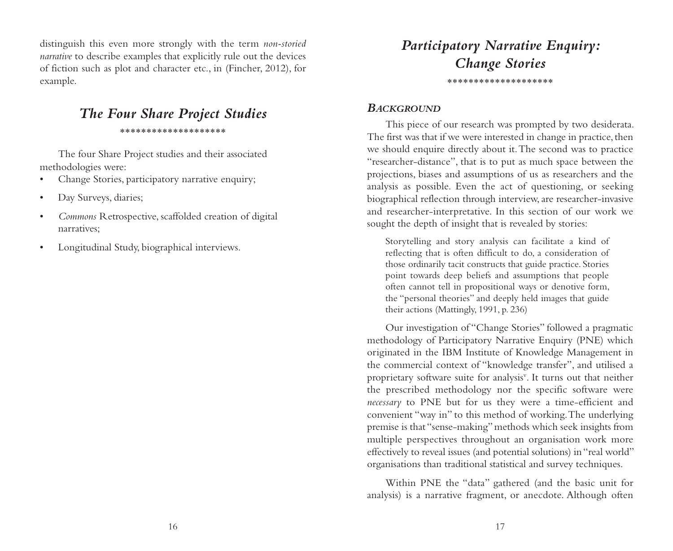distinguish this even more strongly with the term *non-storied narrative* to describe examples that explicitly rule out the devices of fiction such as plot and character etc., in (Fincher, 2012), for example.

#### *The Four Share Project Studies* \*\*\*\*\*\*\*\*\*\*\*\*\*\*\*\*\*\*\*\*

The four Share Project studies and their associated methodologies were:

- Change Stories, participatory narrative enquiry;
- Day Surveys, diaries;
- *Commons* Retrospective, scaffolded creation of digital narratives;
- Longitudinal Study, biographical interviews.

#### *Participatory Narrative Enquiry: Change Stories* \*\*\*\*\*\*\*\*\*\*\*\*\*\*\*\*\*\*\*\*

#### *BACKGROUND*

This piece of our research was prompted by two desiderata. The first was that if we were interested in change in practice, then we should enquire directly about it. The second was to practice "researcher-distance", that is to put as much space between the projections, biases and assumptions of us as researchers and the analysis as possible. Even the act of questioning, or seeking biographical reflection through interview, are researcher-invasive and researcher-interpretative. In this section of our work we sought the depth of insight that is revealed by stories:

Storytelling and story analysis can facilitate a kind of reflecting that is often difficult to do, a consideration of those ordinarily tacit constructs that guide practice. Stories point towards deep beliefs and assumptions that people often cannot tell in propositional ways or denotive form, the "personal theories" and deeply held images that guide their actions (Mattingly, 1991, p. 236)

Our investigation of "Change Stories" followed a pragmatic methodology of Participatory Narrative Enquiry (PNE) which originated in the IBM Institute of Knowledge Management in the commercial context of "knowledge transfer", and utilised a proprietary software suite for analysis<sup>v</sup>. It turns out that neither the prescribed methodology nor the specific software were *necessary* to PNE but for us they were a time-efficient and convenient "way in" to this method of working. The underlying premise is that "sense-making" methods which seek insights from multiple perspectives throughout an organisation work more effectively to reveal issues (and potential solutions) in "real world" organisations than traditional statistical and survey techniques.

Within PNE the "data" gathered (and the basic unit for analysis) is a narrative fragment, or anecdote. Although often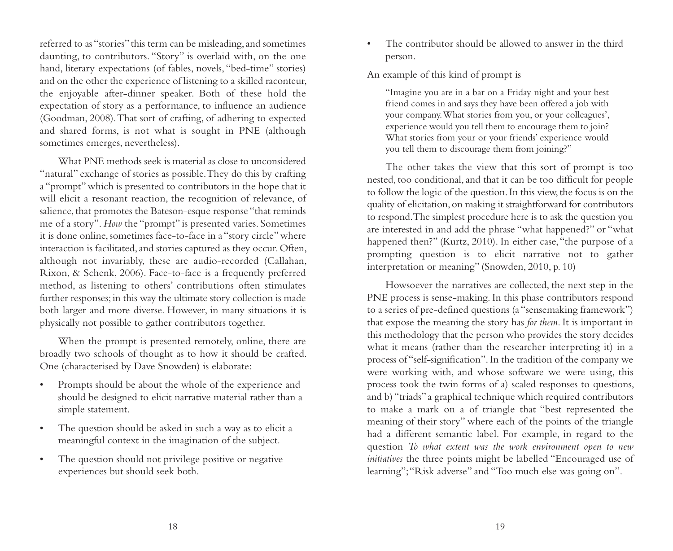referred to as "stories" this term can be misleading, and sometimes daunting, to contributors. "Story" is overlaid with, on the one hand, literary expectations (of fables, novels, "bed-time" stories) and on the other the experience of listening to a skilled raconteur, the enjoyable after-dinner speaker. Both of these hold the expectation of story as a performance, to influence an audience (Goodman, 2008). That sort of crafting, of adhering to expected and shared forms, is not what is sought in PNE (although sometimes emerges, nevertheless).

What PNE methods seek is material as close to unconsidered "natural" exchange of stories as possible. They do this by crafting a "prompt" which is presented to contributors in the hope that it will elicit a resonant reaction, the recognition of relevance, of salience, that promotes the Bateson-esque response "that reminds me of a story". *How* the "prompt" is presented varies. Sometimes it is done online, sometimes face-to-face in a "story circle" where interaction is facilitated, and stories captured as they occur. Often, although not invariably, these are audio-recorded (Callahan, Rixon, & Schenk, 2006). Face-to-face is a frequently preferred method, as listening to others' contributions often stimulates further responses; in this way the ultimate story collection is made both larger and more diverse. However, in many situations it is physically not possible to gather contributors together.

When the prompt is presented remotely, online, there are broadly two schools of thought as to how it should be crafted. One (characterised by Dave Snowden) is elaborate:

- Prompts should be about the whole of the experience and should be designed to elicit narrative material rather than a simple statement.
- The question should be asked in such a way as to elicit a meaningful context in the imagination of the subject.
- The question should not privilege positive or negative experiences but should seek both.

The contributor should be allowed to answer in the third person.

An example of this kind of prompt is

"Imagine you are in a bar on a Friday night and your best friend comes in and says they have been offered a job with your company. What stories from you, or your colleagues', experience would you tell them to encourage them to join? What stories from your or your friends' experience would you tell them to discourage them from joining?"

The other takes the view that this sort of prompt is too nested, too conditional, and that it can be too difficult for people to follow the logic of the question. In this view, the focus is on the quality of elicitation, on making it straightforward for contributors to respond. The simplest procedure here is to ask the question you are interested in and add the phrase "what happened?" or "what happened then?" (Kurtz, 2010). In either case, "the purpose of a prompting question is to elicit narrative not to gather interpretation or meaning" (Snowden, 2010, p. 10)

Howsoever the narratives are collected, the next step in the PNE process is sense-making. In this phase contributors respond to a series of pre-defined questions (a "sensemaking framework") that expose the meaning the story has *for them*. It is important in this methodology that the person who provides the story decides what it means (rather than the researcher interpreting it) in a process of "self-signification". In the tradition of the company we were working with, and whose software we were using, this process took the twin forms of a) scaled responses to questions, and b) "triads" a graphical technique which required contributors to make a mark on a of triangle that "best represented the meaning of their story" where each of the points of the triangle had a different semantic label. For example, in regard to the question *To what extent was the work environment open to new initiatives* the three points might be labelled "Encouraged use of learning"; "Risk adverse" and "Too much else was going on".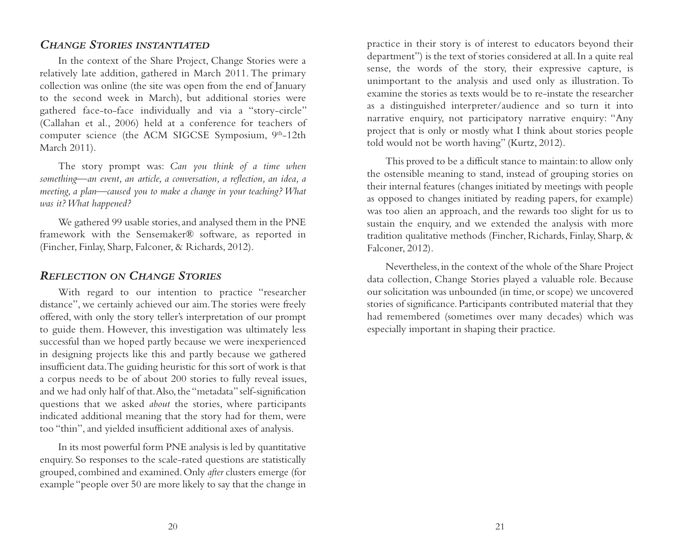#### *CHANGE STORIES INSTANTIATED*

In the context of the Share Project, Change Stories were a relatively late addition, gathered in March 2011. The primary collection was online (the site was open from the end of January to the second week in March), but additional stories were gathered face-to-face individually and via a "story-circle" (Callahan et al., 2006) held at a conference for teachers of computer science (the ACM SIGCSE Symposium,  $9<sup>th</sup>-12th$ ) March 2011).

The story prompt was: *Can you think of a time when something—an event, an article, a conversation, a reflection, an idea, a meeting, a plan—caused you to make a change in your teaching? What was it? What happened?*

We gathered 99 usable stories, and analysed them in the PNE framework with the Sensemaker® software, as reported in (Fincher, Finlay, Sharp, Falconer, & Richards, 2012).

#### *REFLECTION ON CHANGE STORIES*

With regard to our intention to practice "researcher distance", we certainly achieved our aim. The stories were freely offered, with only the story teller's interpretation of our prompt to guide them. However, this investigation was ultimately less successful than we hoped partly because we were inexperienced in designing projects like this and partly because we gathered insufficient data. The guiding heuristic for this sort of work is that a corpus needs to be of about 200 stories to fully reveal issues, and we had only half of that. Also, the "metadata" self-signification questions that we asked *about* the stories, where participants indicated additional meaning that the story had for them, were too "thin", and yielded insufficient additional axes of analysis.

In its most powerful form PNE analysis is led by quantitative enquiry. So responses to the scale-rated questions are statistically grouped, combined and examined. Only *after* clusters emerge (for example "people over 50 are more likely to say that the change in

practice in their story is of interest to educators beyond their department") is the text of stories considered at all. In a quite real sense, the words of the story, their expressive capture, is unimportant to the analysis and used only as illustration. To examine the stories as texts would be to re-instate the researcher as a distinguished interpreter/audience and so turn it into narrative enquiry, not participatory narrative enquiry: "Any project that is only or mostly what I think about stories people told would not be worth having" (Kurtz, 2012).

This proved to be a difficult stance to maintain: to allow only the ostensible meaning to stand, instead of grouping stories on their internal features (changes initiated by meetings with people as opposed to changes initiated by reading papers, for example) was too alien an approach, and the rewards too slight for us to sustain the enquiry, and we extended the analysis with more tradition qualitative methods (Fincher, Richards, Finlay, Sharp, & Falconer, 2012).

Nevertheless, in the context of the whole of the Share Project data collection, Change Stories played a valuable role. Because our solicitation was unbounded (in time, or scope) we uncovered stories of significance. Participants contributed material that they had remembered (sometimes over many decades) which was especially important in shaping their practice.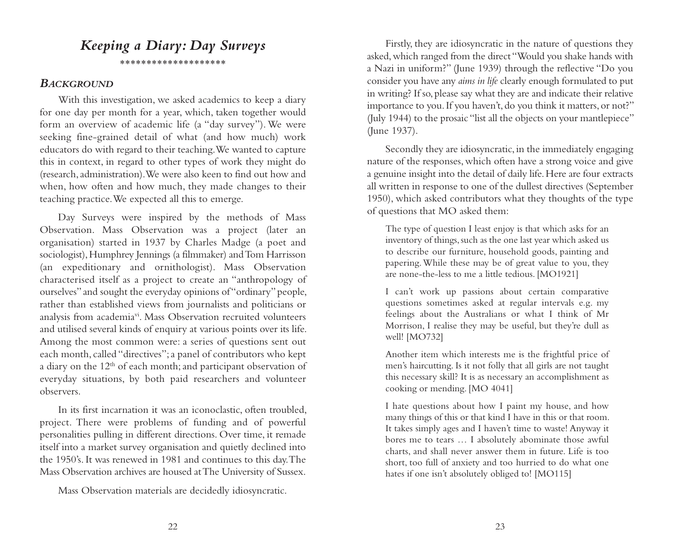#### *Keeping a Diary: Day Surveys* \*\*\*\*\*\*\*\*\*\*\*\*\*\*\*\*\*\*\*\*

#### *BACKGROUND*

With this investigation, we asked academics to keep a diary for one day per month for a year, which, taken together would form an overview of academic life (a "day survey"). We were seeking fine-grained detail of what (and how much) work educators do with regard to their teaching. We wanted to capture this in context, in regard to other types of work they might do (research, administration). We were also keen to find out how and when, how often and how much, they made changes to their teaching practice. We expected all this to emerge.

Day Surveys were inspired by the methods of Mass Observation. Mass Observation was a project (later an organisation) started in 1937 by Charles Madge (a poet and sociologist), Humphrey Jennings (a filmmaker) and Tom Harrisson (an expeditionary and ornithologist). Mass Observation characterised itself as a project to create an "anthropology of ourselves" and sought the everyday opinions of "ordinary" people, rather than established views from journalists and politicians or analysis from academiavi. Mass Observation recruited volunteers and utilised several kinds of enquiry at various points over its life. Among the most common were: a series of questions sent out each month, called "directives"; a panel of contributors who kept a diary on the 12<sup>th</sup> of each month; and participant observation of everyday situations, by both paid researchers and volunteer observers.

In its first incarnation it was an iconoclastic, often troubled, project. There were problems of funding and of powerful personalities pulling in different directions. Over time, it remade itself into a market survey organisation and quietly declined into the 1950's. It was renewed in 1981 and continues to this day. The Mass Observation archives are housed at The University of Sussex.

Mass Observation materials are decidedly idiosyncratic.

Firstly, they are idiosyncratic in the nature of questions they asked, which ranged from the direct "Would you shake hands with a Nazi in uniform?" (June 1939) through the reflective "Do you consider you have any *aims in life* clearly enough formulated to put in writing? If so, please say what they are and indicate their relative importance to you. If you haven't, do you think it matters, or not?" (July 1944) to the prosaic "list all the objects on your mantlepiece" (June 1937).

Secondly they are idiosyncratic, in the immediately engaging nature of the responses, which often have a strong voice and give a genuine insight into the detail of daily life. Here are four extracts all written in response to one of the dullest directives (September 1950), which asked contributors what they thoughts of the type of questions that MO asked them:

The type of question I least enjoy is that which asks for an inventory of things, such as the one last year which asked us to describe our furniture, household goods, painting and papering. While these may be of great value to you, they are none-the-less to me a little tedious. [MO1921]

I can't work up passions about certain comparative questions sometimes asked at regular intervals e.g. my feelings about the Australians or what I think of Mr Morrison, I realise they may be useful, but they're dull as well! [MO732]

Another item which interests me is the frightful price of men's haircutting. Is it not folly that all girls are not taught this necessary skill? It is as necessary an accomplishment as cooking or mending. [MO 4041]

I hate questions about how I paint my house, and how many things of this or that kind I have in this or that room. It takes simply ages and I haven't time to waste! Anyway it bores me to tears … I absolutely abominate those awful charts, and shall never answer them in future. Life is too short, too full of anxiety and too hurried to do what one hates if one isn't absolutely obliged to! [MO115]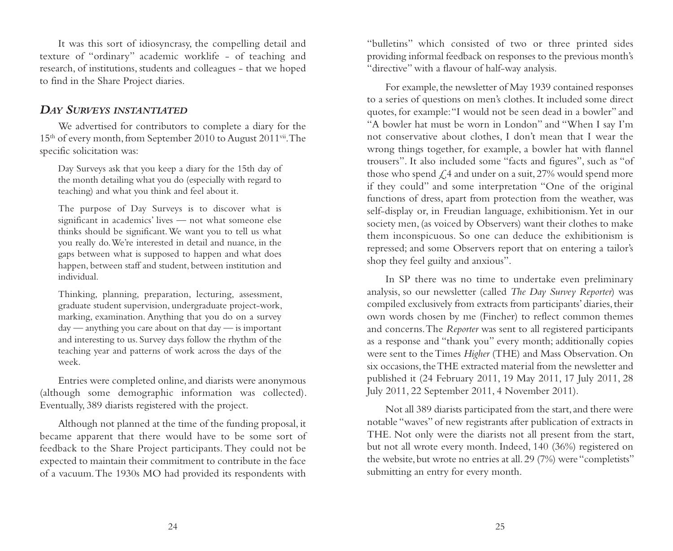It was this sort of idiosyncrasy, the compelling detail and texture of "ordinary" academic worklife - of teaching and research, of institutions, students and colleagues - that we hoped to find in the Share Project diaries.

#### *DAY SURVEYS INSTANTIATED*

We advertised for contributors to complete a diary for the 15th of every month, from September 2010 to August 2011vii. The specific solicitation was:

Day Surveys ask that you keep a diary for the 15th day of the month detailing what you do (especially with regard to teaching) and what you think and feel about it.

The purpose of Day Surveys is to discover what is significant in academics' lives — not what someone else thinks should be significant. We want you to tell us what you really do. We're interested in detail and nuance, in the gaps between what is supposed to happen and what does happen, between staff and student, between institution and individual.

Thinking, planning, preparation, lecturing, assessment, graduate student supervision, undergraduate project-work, marking, examination. Anything that you do on a survey  $day$  — anything you care about on that  $day$  — is important and interesting to us. Survey days follow the rhythm of the teaching year and patterns of work across the days of the week.

Entries were completed online, and diarists were anonymous (although some demographic information was collected). Eventually, 389 diarists registered with the project.

Although not planned at the time of the funding proposal, it became apparent that there would have to be some sort of feedback to the Share Project participants. They could not be expected to maintain their commitment to contribute in the face of a vacuum. The 1930s MO had provided its respondents with

"bulletins" which consisted of two or three printed sides providing informal feedback on responses to the previous month's "directive" with a flavour of half-way analysis.

For example, the newsletter of May 1939 contained responses to a series of questions on men's clothes. It included some direct quotes, for example: "I would not be seen dead in a bowler" and "A bowler hat must be worn in London" and "When I say I'm not conservative about clothes, I don't mean that I wear the wrong things together, for example, a bowler hat with flannel trousers". It also included some "facts and figures", such as "of those who spend  $\angle$  4 and under on a suit, 27% would spend more if they could" and some interpretation "One of the original functions of dress, apart from protection from the weather, was self-display or, in Freudian language, exhibitionism. Yet in our society men, (as voiced by Observers) want their clothes to make them inconspicuous. So one can deduce the exhibitionism is repressed; and some Observers report that on entering a tailor's shop they feel guilty and anxious".

In SP there was no time to undertake even preliminary analysis, so our newsletter (called *The Day Survey Reporter*) was compiled exclusively from extracts from participants' diaries, their own words chosen by me (Fincher) to reflect common themes and concerns. The *Reporter* was sent to all registered participants as a response and "thank you" every month; additionally copies were sent to the Times *Higher* (THE) and Mass Observation. On six occasions, the THE extracted material from the newsletter and published it (24 February 2011, 19 May 2011, 17 July 2011, 28 July 2011, 22 September 2011, 4 November 2011).

Not all 389 diarists participated from the start, and there were notable "waves" of new registrants after publication of extracts in THE. Not only were the diarists not all present from the start, but not all wrote every month. Indeed, 140 (36%) registered on the website, but wrote no entries at all. 29 (7%) were "completists" submitting an entry for every month.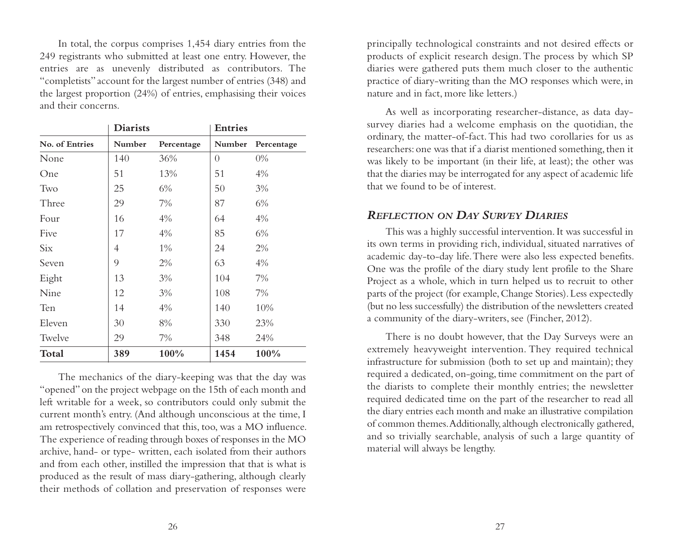In total, the corpus comprises 1,454 diary entries from the 249 registrants who submitted at least one entry. However, the entries are as unevenly distributed as contributors. The "completists" account for the largest number of entries (348) and the largest proportion (24%) of entries, emphasising their voices and their concerns.

|                | <b>Diarists</b> |            | <b>Entries</b> |            |
|----------------|-----------------|------------|----------------|------------|
| No. of Entries | Number          | Percentage | Number         | Percentage |
| None           | 140             | 36%        | $\theta$       | $0\%$      |
| One            | 51              | 13%        | 51             | 4%         |
| Two            | 25              | 6%         | 50             | 3%         |
| Three          | 29              | 7%         | 87             | 6%         |
| Four           | 16              | 4%         | 64             | 4%         |
| Five           | 17              | 4%         | 85             | 6%         |
| Six            | 4               | $1\%$      | 24             | $2\%$      |
| Seven          | 9               | $2\%$      | 63             | 4%         |
| Eight          | 13              | 3%         | 104            | 7%         |
| Nine           | 12              | 3%         | 108            | 7%         |
| Ten            | 14              | 4%         | 140            | 10%        |
| Eleven         | 30              | 8%         | 330            | 23%        |
| Twelve         | 29              | 7%         | 348            | 24%        |
| Total          | 389             | 100%       | 1454           | 100%       |

The mechanics of the diary-keeping was that the day was "opened" on the project webpage on the 15th of each month and left writable for a week, so contributors could only submit the current month's entry. (And although unconscious at the time, I am retrospectively convinced that this, too, was a MO influence. The experience of reading through boxes of responses in the MO archive, hand- or type- written, each isolated from their authors and from each other, instilled the impression that that is what is produced as the result of mass diary-gathering, although clearly their methods of collation and preservation of responses were principally technological constraints and not desired effects or products of explicit research design. The process by which SP diaries were gathered puts them much closer to the authentic practice of diary-writing than the MO responses which were, in nature and in fact, more like letters.)

As well as incorporating researcher-distance, as data daysurvey diaries had a welcome emphasis on the quotidian, the ordinary, the matter-of-fact. This had two corollaries for us as researchers: one was that if a diarist mentioned something, then it was likely to be important (in their life, at least); the other was that the diaries may be interrogated for any aspect of academic life that we found to be of interest.

#### *REFLECTION ON DAY SURVEY DIARIES*

This was a highly successful intervention. It was successful in its own terms in providing rich, individual, situated narratives of academic day-to-day life. There were also less expected benefits. One was the profile of the diary study lent profile to the Share Project as a whole, which in turn helped us to recruit to other parts of the project (for example, Change Stories). Less expectedly (but no less successfully) the distribution of the newsletters created a community of the diary-writers, see (Fincher, 2012).

There is no doubt however, that the Day Surveys were an extremely heavyweight intervention. They required technical infrastructure for submission (both to set up and maintain); they required a dedicated, on-going, time commitment on the part of the diarists to complete their monthly entries; the newsletter required dedicated time on the part of the researcher to read all the diary entries each month and make an illustrative compilation of common themes. Additionally, although electronically gathered, and so trivially searchable, analysis of such a large quantity of material will always be lengthy.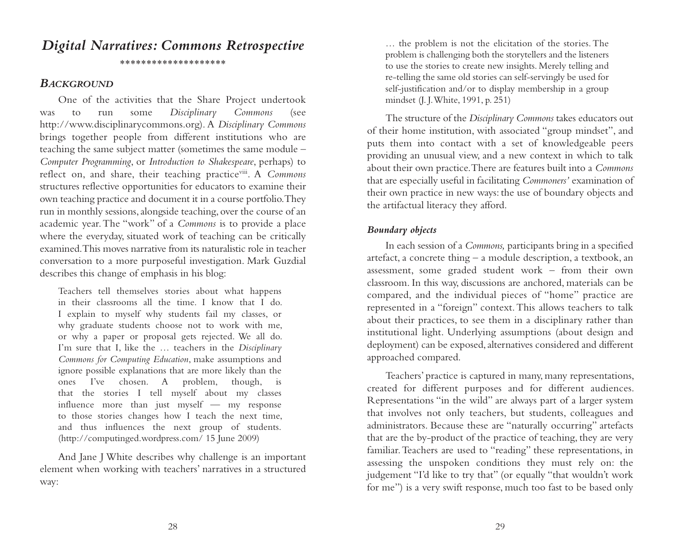#### *Digital Narratives: Commons Retrospective* \*\*\*\*\*\*\*\*\*\*\*\*\*\*\*\*\*\*\*\*

#### *BACKGROUND*

One of the activities that the Share Project undertook was to run some *Disciplinary Commons* (see http://www.disciplinarycommons.org). A *Disciplinary Commons* brings together people from different institutions who are teaching the same subject matter (sometimes the same module – *Computer Programming*, or *Introduction to Shakespeare*, perhaps) to reflect on, and share, their teaching practiceviii. A *Commons* structures reflective opportunities for educators to examine their own teaching practice and document it in a course portfolio. They run in monthly sessions, alongside teaching, over the course of an academic year. The "work" of a *Commons* is to provide a place where the everyday, situated work of teaching can be critically examined. This moves narrative from its naturalistic role in teacher conversation to a more purposeful investigation. Mark Guzdial describes this change of emphasis in his blog:

Teachers tell themselves stories about what happens in their classrooms all the time. I know that I do. I explain to myself why students fail my classes, or why graduate students choose not to work with me, or why a paper or proposal gets rejected. We all do. I'm sure that I, like the … teachers in the *Disciplinary Commons for Computing Education*, make assumptions and ignore possible explanations that are more likely than the ones I've chosen. A problem, though, is that the stories I tell myself about my classes influence more than just myself — my response to those stories changes how I teach the next time, and thus influences the next group of students. (http://computinged.wordpress.com/ 15 June 2009)

And Jane J White describes why challenge is an important element when working with teachers' narratives in a structured way:

… the problem is not the elicitation of the stories. The problem is challenging both the storytellers and the listeners to use the stories to create new insights. Merely telling and re-telling the same old stories can self-servingly be used for self-justification and/or to display membership in a group mindset (J. J. White, 1991, p. 251)

The structure of the *Disciplinary Commons* takes educators out of their home institution, with associated "group mindset", and puts them into contact with a set of knowledgeable peers providing an unusual view, and a new context in which to talk about their own practice. There are features built into a *Commons* that are especially useful in facilitating *Commoners'* examination of their own practice in new ways: the use of boundary objects and the artifactual literacy they afford.

#### *Boundary objects*

In each session of a *Commons,* participants bring in a specified artefact, a concrete thing – a module description, a textbook, an assessment, some graded student work – from their own classroom. In this way, discussions are anchored, materials can be compared, and the individual pieces of "home" practice are represented in a "foreign" context. This allows teachers to talk about their practices, to see them in a disciplinary rather than institutional light. Underlying assumptions (about design and deployment) can be exposed, alternatives considered and different approached compared.

Teachers' practice is captured in many, many representations, created for different purposes and for different audiences. Representations "in the wild" are always part of a larger system that involves not only teachers, but students, colleagues and administrators. Because these are "naturally occurring" artefacts that are the by-product of the practice of teaching, they are very familiar. Teachers are used to "reading" these representations, in assessing the unspoken conditions they must rely on: the judgement "I'd like to try that" (or equally "that wouldn't work for me") is a very swift response, much too fast to be based only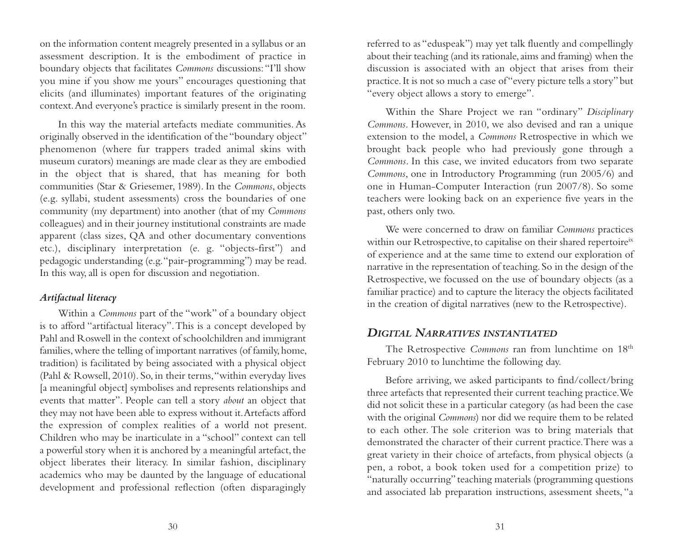on the information content meagrely presented in a syllabus or an assessment description. It is the embodiment of practice in boundary objects that facilitates *Commons* discussions: "I'll show you mine if you show me yours" encourages questioning that elicits (and illuminates) important features of the originating context. And everyone's practice is similarly present in the room.

In this way the material artefacts mediate communities. As originally observed in the identification of the "boundary object" phenomenon (where fur trappers traded animal skins with museum curators) meanings are made clear as they are embodied in the object that is shared, that has meaning for both communities (Star & Griesemer, 1989). In the *Commons*, objects (e.g. syllabi, student assessments) cross the boundaries of one community (my department) into another (that of my *Commons* colleagues) and in their journey institutional constraints are made apparent (class sizes, QA and other documentary conventions etc.), disciplinary interpretation (e. g. "objects-first") and pedagogic understanding (e.g. "pair-programming") may be read. In this way, all is open for discussion and negotiation.

#### *Artifactual literacy*

Within a *Commons* part of the "work" of a boundary object is to afford "artifactual literacy". This is a concept developed by Pahl and Roswell in the context of schoolchildren and immigrant families, where the telling of important narratives (of family, home, tradition) is facilitated by being associated with a physical object (Pahl & Rowsell, 2010). So, in their terms, "within everyday lives [a meaningful object] symbolises and represents relationships and events that matter". People can tell a story *about* an object that they may not have been able to express without it. Artefacts afford the expression of complex realities of a world not present. Children who may be inarticulate in a "school" context can tell a powerful story when it is anchored by a meaningful artefact, the object liberates their literacy. In similar fashion, disciplinary academics who may be daunted by the language of educational development and professional reflection (often disparagingly

referred to as "eduspeak") may yet talk fluently and compellingly about their teaching (and its rationale, aims and framing) when the discussion is associated with an object that arises from their practice. It is not so much a case of "every picture tells a story" but "every object allows a story to emerge".

Within the Share Project we ran "ordinary" *Disciplinary Commons*. However, in 2010, we also devised and ran a unique extension to the model, a *Commons* Retrospective in which we brought back people who had previously gone through a *Commons*. In this case, we invited educators from two separate *Commons*, one in Introductory Programming (run 2005/6) and one in Human-Computer Interaction (run 2007/8). So some teachers were looking back on an experience five years in the past, others only two.

We were concerned to draw on familiar *Commons* practices within our Retrospective, to capitalise on their shared repertoireix of experience and at the same time to extend our exploration of narrative in the representation of teaching. So in the design of the Retrospective, we focussed on the use of boundary objects (as a familiar practice) and to capture the literacy the objects facilitated in the creation of digital narratives (new to the Retrospective).

#### *DIGITAL NARRATIVES INSTANTIATED*

The Retrospective *Commons* ran from lunchtime on 18th February 2010 to lunchtime the following day.

Before arriving, we asked participants to find/collect/bring three artefacts that represented their current teaching practice. We did not solicit these in a particular category (as had been the case with the original *Commons*) nor did we require them to be related to each other. The sole criterion was to bring materials that demonstrated the character of their current practice. There was a great variety in their choice of artefacts, from physical objects (a pen, a robot, a book token used for a competition prize) to "naturally occurring" teaching materials (programming questions and associated lab preparation instructions, assessment sheets, "a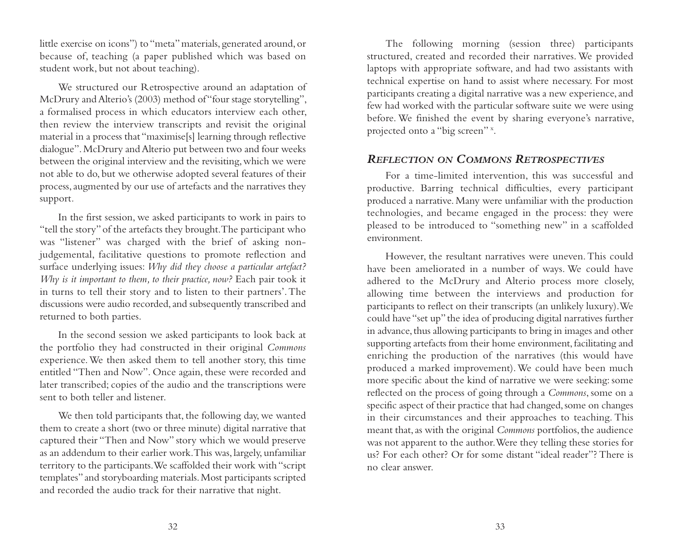little exercise on icons") to "meta" materials, generated around, or because of, teaching (a paper published which was based on student work, but not about teaching).

We structured our Retrospective around an adaptation of McDrury and Alterio's (2003) method of "four stage storytelling", a formalised process in which educators interview each other, then review the interview transcripts and revisit the original material in a process that "maximise[s] learning through reflective dialogue". McDrury and Alterio put between two and four weeks between the original interview and the revisiting, which we were not able to do, but we otherwise adopted several features of their process, augmented by our use of artefacts and the narratives they support*.*

In the first session, we asked participants to work in pairs to "tell the story" of the artefacts they brought. The participant who was "listener" was charged with the brief of asking nonjudgemental, facilitative questions to promote reflection and surface underlying issues: *Why did they choose a particular artefact? Why is it important to them, to their practice, now?* Each pair took it in turns to tell their story and to listen to their partners'. The discussions were audio recorded, and subsequently transcribed and returned to both parties.

In the second session we asked participants to look back at the portfolio they had constructed in their original *Commons* experience. We then asked them to tell another story, this time entitled "Then and Now". Once again, these were recorded and later transcribed; copies of the audio and the transcriptions were sent to both teller and listener.

We then told participants that, the following day, we wanted them to create a short (two or three minute) digital narrative that captured their "Then and Now" story which we would preserve as an addendum to their earlier work. This was, largely, unfamiliar territory to the participants. We scaffolded their work with "script templates" and storyboarding materials. Most participants scripted and recorded the audio track for their narrative that night.

The following morning (session three) participants structured, created and recorded their narratives. We provided laptops with appropriate software, and had two assistants with technical expertise on hand to assist where necessary. For most participants creating a digital narrative was a new experience, and few had worked with the particular software suite we were using before. We finished the event by sharing everyone's narrative, projected onto a "big screen" x.

#### *REFLECTION ON COMMONS RETROSPECTIVES*

For a time-limited intervention, this was successful and productive. Barring technical difficulties, every participant produced a narrative. Many were unfamiliar with the production technologies, and became engaged in the process: they were pleased to be introduced to "something new" in a scaffolded environment.

However, the resultant narratives were uneven. This could have been ameliorated in a number of ways. We could have adhered to the McDrury and Alterio process more closely, allowing time between the interviews and production for participants to reflect on their transcripts (an unlikely luxury). We could have "set up" the idea of producing digital narratives further in advance, thus allowing participants to bring in images and other supporting artefacts from their home environment, facilitating and enriching the production of the narratives (this would have produced a marked improvement). We could have been much more specific about the kind of narrative we were seeking: some reflected on the process of going through a *Commons*, some on a specific aspect of their practice that had changed, some on changes in their circumstances and their approaches to teaching. This meant that, as with the original *Commons* portfolios, the audience was not apparent to the author. Were they telling these stories for us? For each other? Or for some distant "ideal reader"? There is no clear answer.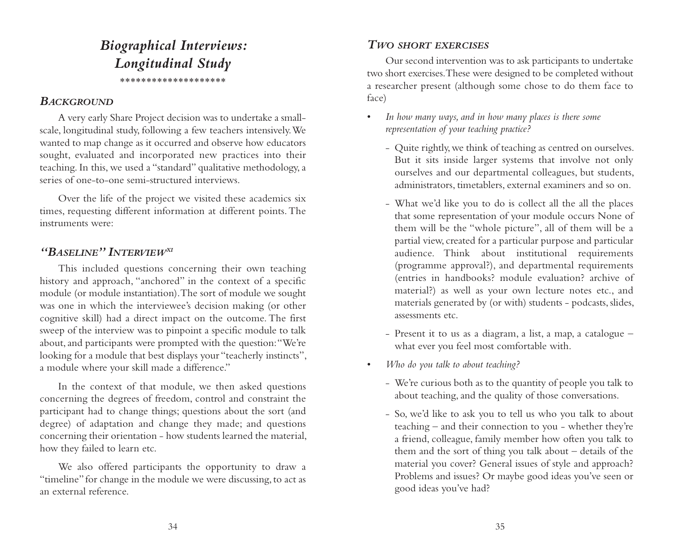#### *Biographical Interviews: Longitudinal Study* \*\*\*\*\*\*\*\*\*\*\*\*\*\*\*\*\*\*\*\*\*\*\*\*\*\*

#### *BACKGROUND*

A very early Share Project decision was to undertake a smallscale, longitudinal study, following a few teachers intensively. We wanted to map change as it occurred and observe how educators sought, evaluated and incorporated new practices into their teaching. In this, we used a "standard" qualitative methodology, a series of one-to-one semi-structured interviews.

Over the life of the project we visited these academics six times, requesting different information at different points. The instruments were:

#### *"BASELINE" INTERVIEWXI*

This included questions concerning their own teaching history and approach, "anchored" in the context of a specific module (or module instantiation). The sort of module we sought was one in which the interviewee's decision making (or other cognitive skill) had a direct impact on the outcome. The first sweep of the interview was to pinpoint a specific module to talk about, and participants were prompted with the question: "We're looking for a module that best displays your "teacherly instincts", a module where your skill made a difference."

In the context of that module, we then asked questions concerning the degrees of freedom, control and constraint the participant had to change things; questions about the sort (and degree) of adaptation and change they made; and questions concerning their orientation - how students learned the material, how they failed to learn etc.

We also offered participants the opportunity to draw a "timeline" for change in the module we were discussing, to act as an external reference.

#### *TWO SHORT EXERCISES*

Our second intervention was to ask participants to undertake two short exercises. These were designed to be completed without a researcher present (although some chose to do them face to face)

- *In how many ways, and in how many places is there some representation of your teaching practice?*
	- Quite rightly, we think of teaching as centred on ourselves. But it sits inside larger systems that involve not only ourselves and our departmental colleagues, but students, administrators, timetablers, external examiners and so on.
	- What we'd like you to do is collect all the all the places that some representation of your module occurs None of them will be the "whole picture", all of them will be a partial view, created for a particular purpose and particular audience. Think about institutional requirements (programme approval?), and departmental requirements (entries in handbooks? module evaluation? archive of material?) as well as your own lecture notes etc., and materials generated by (or with) students - podcasts, slides, assessments etc.
	- Present it to us as a diagram, a list, a map, a catalogue what ever you feel most comfortable with.
- *Who do you talk to about teaching?*
	- We're curious both as to the quantity of people you talk to about teaching, and the quality of those conversations.
	- So, we'd like to ask you to tell us who you talk to about teaching – and their connection to you - whether they're a friend, colleague, family member how often you talk to them and the sort of thing you talk about – details of the material you cover? General issues of style and approach? Problems and issues? Or maybe good ideas you've seen or good ideas you've had?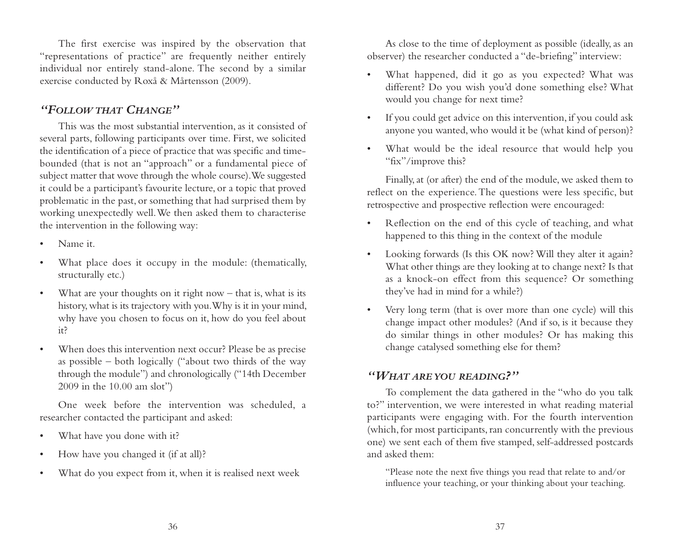The first exercise was inspired by the observation that "representations of practice" are frequently neither entirely individual nor entirely stand-alone. The second by a similar exercise conducted by Roxå & Mårtensson (2009).

#### *"FOLLOW THAT CHANGE"*

This was the most substantial intervention, as it consisted of several parts, following participants over time. First, we solicited the identification of a piece of practice that was specific and timebounded (that is not an "approach" or a fundamental piece of subject matter that wove through the whole course). We suggested it could be a participant's favourite lecture, or a topic that proved problematic in the past, or something that had surprised them by working unexpectedly well. We then asked them to characterise the intervention in the following way:

- Name it.
- What place does it occupy in the module: (thematically, structurally etc.)
- What are your thoughts on it right now that is, what is its history, what is its trajectory with you. Why is it in your mind, why have you chosen to focus on it, how do you feel about it?
- When does this intervention next occur? Please be as precise as possible – both logically ("about two thirds of the way through the module") and chronologically ("14th December 2009 in the 10.00 am slot")

One week before the intervention was scheduled, a researcher contacted the participant and asked:

- What have you done with it?
- How have you changed it (if at all)?
- What do you expect from it, when it is realised next week

As close to the time of deployment as possible (ideally, as an observer) the researcher conducted a "de-briefing" interview:

- What happened, did it go as you expected? What was different? Do you wish you'd done something else? What would you change for next time?
- If you could get advice on this intervention, if you could ask anyone you wanted, who would it be (what kind of person)?
- What would be the ideal resource that would help you "fix"/improve this?

Finally, at (or after) the end of the module, we asked them to reflect on the experience. The questions were less specific, but retrospective and prospective reflection were encouraged:

- Reflection on the end of this cycle of teaching, and what happened to this thing in the context of the module
- Looking forwards (Is this OK now? Will they alter it again? What other things are they looking at to change next? Is that as a knock-on effect from this sequence? Or something they've had in mind for a while?)
- Very long term (that is over more than one cycle) will this change impact other modules? (And if so, is it because they do similar things in other modules? Or has making this change catalysed something else for them?

#### *"WHAT ARE YOU READING?"*

To complement the data gathered in the "who do you talk to?" intervention, we were interested in what reading material participants were engaging with. For the fourth intervention (which, for most participants, ran concurrently with the previous one) we sent each of them five stamped, self-addressed postcards and asked them:

"Please note the next five things you read that relate to and/or influence your teaching, or your thinking about your teaching.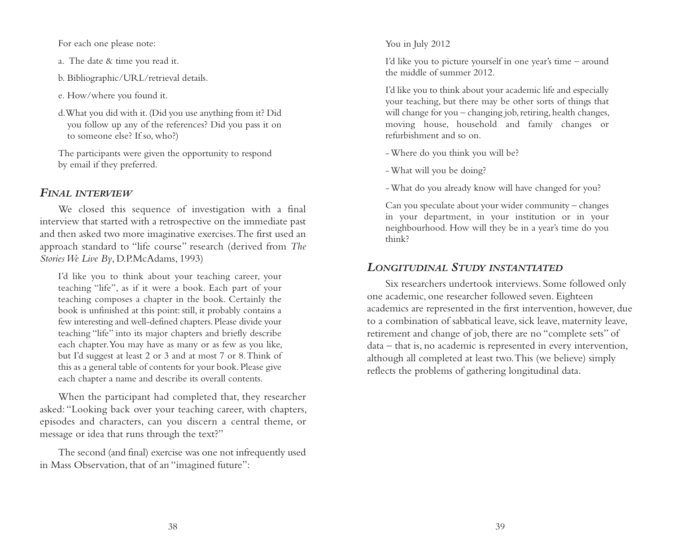For each one please note:

- a. The date & time you read it.
- b. Bibliographic/URL/retrieval details.
- e. How/where you found it.
- d. What you did with it. (Did you use anything from it? Did you follow up any of the references? Did you pass it on to someone else? If so, who?)

The participants were given the opportunity to respond by email if they preferred.

#### *FINAL INTERVIEW*

We closed this sequence of investigation with a final interview that started with a retrospective on the immediate past and then asked two more imaginative exercises. The first used an approach standard to "life course" research (derived from *The Stories We Live By*, D.P.McAdams, 1993)

I'd like you to think about your teaching career, your teaching "life", as if it were a book. Each part of your teaching composes a chapter in the book. Certainly the book is unfinished at this point: still, it probably contains a few interesting and well-defined chapters. Please divide your teaching "life" into its major chapters and briefly describe each chapter. You may have as many or as few as you like, but I'd suggest at least 2 or 3 and at most 7 or 8. Think of this as a general table of contents for your book. Please give each chapter a name and describe its overall contents.

When the participant had completed that, they researcher asked: "Looking back over your teaching career, with chapters, episodes and characters, can you discern a central theme, or message or idea that runs through the text?"

The second (and final) exercise was one not infrequently used in Mass Observation, that of an "imagined future":

You in July 2012

I'd like you to picture yourself in one year's time – around the middle of summer 2012.

I'd like you to think about your academic life and especially your teaching, but there may be other sorts of things that will change for you – changing job, retiring, health changes, moving house, household and family changes or refurbishment and so on.

- Where do you think you will be?
- What will you be doing?
- What do you already know will have changed for you?

Can you speculate about your wider community – changes in your department, in your institution or in your neighbourhood. How will they be in a year's time do you think?

#### *LONGITUDINAL STUDY INSTANTIATED*

Six researchers undertook interviews. Some followed only one academic, one researcher followed seven. Eighteen academics are represented in the first intervention, however, due to a combination of sabbatical leave, sick leave, maternity leave, retirement and change of job, there are no "complete sets" of data – that is, no academic is represented in every intervention, although all completed at least two. This (we believe) simply reflects the problems of gathering longitudinal data.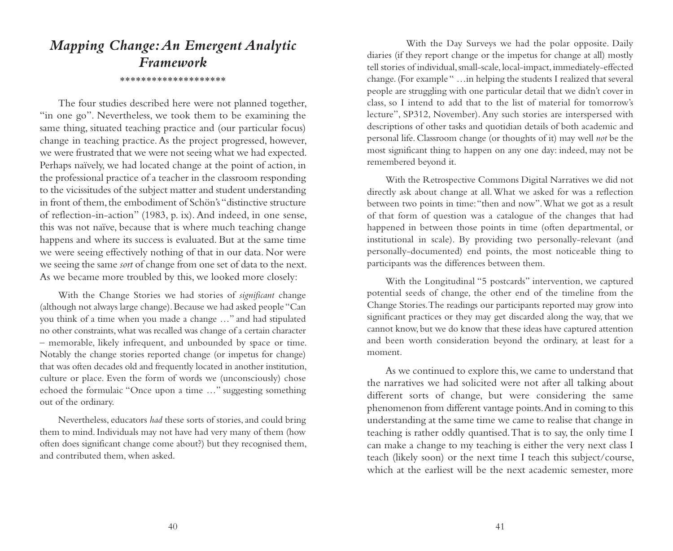#### *Mapping Change: An Emergent Analytic Framework* \*\*\*\*\*\*\*\*\*\*\*\*\*\*\*\*\*\*\*\*

The four studies described here were not planned together, "in one go". Nevertheless, we took them to be examining the same thing, situated teaching practice and (our particular focus) change in teaching practice. As the project progressed, however, we were frustrated that we were not seeing what we had expected. Perhaps naïvely, we had located change at the point of action, in the professional practice of a teacher in the classroom responding to the vicissitudes of the subject matter and student understanding in front of them, the embodiment of Schön's "distinctive structure of reflection-in-action" (1983, p. ix). And indeed, in one sense, this was not naïve, because that is where much teaching change happens and where its success is evaluated. But at the same time we were seeing effectively nothing of that in our data. Nor were we seeing the same *sort* of change from one set of data to the next. As we became more troubled by this, we looked more closely:

With the Change Stories we had stories of *significant* change (although not always large change). Because we had asked people "Can you think of a time when you made a change …" and had stipulated no other constraints, what was recalled was change of a certain character – memorable, likely infrequent, and unbounded by space or time. Notably the change stories reported change (or impetus for change) that was often decades old and frequently located in another institution, culture or place. Even the form of words we (unconsciously) chose echoed the formulaic "Once upon a time …" suggesting something out of the ordinary.

Nevertheless, educators *had* these sorts of stories, and could bring them to mind. Individuals may not have had very many of them (how often does significant change come about?) but they recognised them, and contributed them, when asked.

With the Day Surveys we had the polar opposite. Daily diaries (if they report change or the impetus for change at all) mostly tell stories of individual, small-scale, local-impact, immediately-effected change. (For example " …in helping the students I realized that several people are struggling with one particular detail that we didn't cover in class, so I intend to add that to the list of material for tomorrow's lecture", SP312, November). Any such stories are interspersed with descriptions of other tasks and quotidian details of both academic and personal life. Classroom change (or thoughts of it) may well *not* be the most significant thing to happen on any one day: indeed, may not be remembered beyond it.

With the Retrospective Commons Digital Narratives we did not directly ask about change at all. What we asked for was a reflection between two points in time: "then and now". What we got as a result of that form of question was a catalogue of the changes that had happened in between those points in time (often departmental, or institutional in scale). By providing two personally-relevant (and personally-documented) end points, the most noticeable thing to participants was the differences between them.

With the Longitudinal "5 postcards" intervention, we captured potential seeds of change, the other end of the timeline from the Change Stories. The readings our participants reported may grow into significant practices or they may get discarded along the way, that we cannot know, but we do know that these ideas have captured attention and been worth consideration beyond the ordinary, at least for a moment.

As we continued to explore this, we came to understand that the narratives we had solicited were not after all talking about different sorts of change, but were considering the same phenomenon from different vantage points. And in coming to this understanding at the same time we came to realise that change in teaching is rather oddly quantised. That is to say, the only time I can make a change to my teaching is either the very next class I teach (likely soon) or the next time I teach this subject/course, which at the earliest will be the next academic semester, more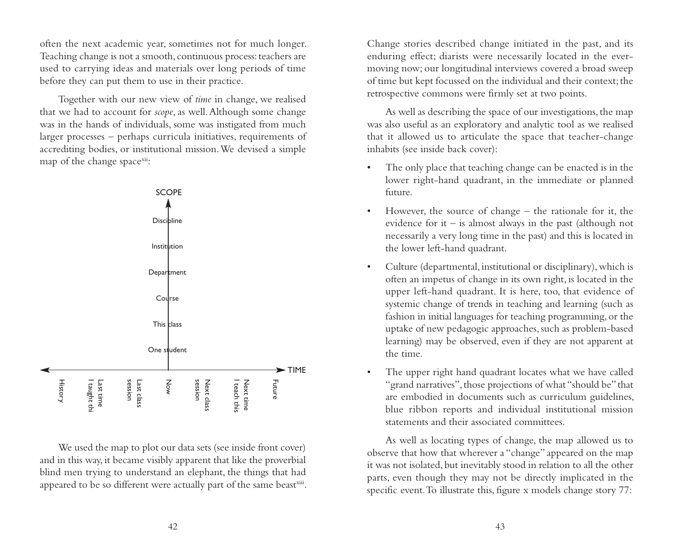often the next academic year, sometimes not for much longer. Teaching change is not a smooth, continuous process: teachers are used to carrying ideas and materials over long periods of time before they can put them to use in their practice.

Together with our new view of *time* in change, we realised that we had to account for *scope*, as well. Although some change was in the hands of individuals, some was instigated from much larger processes – perhaps curricula initiatives, requirements of accrediting bodies, or institutional mission. We devised a simple map of the change space<sup>xii</sup>:



We used the map to plot our data sets (see inside front cover) and in this way, it became visibly apparent that like the proverbial blind men trying to understand an elephant, the things that had appeared to be so different were actually part of the same beastxiii. Change stories described change initiated in the past, and its enduring effect; diarists were necessarily located in the evermoving now; our longitudinal interviews covered a broad sweep of time but kept focussed on the individual and their context; the retrospective commons were firmly set at two points.

As well as describing the space of our investigations, the map was also useful as an exploratory and analytic tool as we realised that it allowed us to articulate the space that teacher-change inhabits (see inside back cover):

- The only place that teaching change can be enacted is in the lower right-hand quadrant, in the immediate or planned future.
- However, the source of change  $-$  the rationale for it, the evidence for it – is almost always in the past (although not necessarily a very long time in the past) and this is located in the lower left-hand quadrant.
- Culture (departmental, institutional or disciplinary), which is often an impetus of change in its own right, is located in the upper left-hand quadrant. It is here, too, that evidence of systemic change of trends in teaching and learning (such as fashion in initial languages for teaching programming, or the uptake of new pedagogic approaches, such as problem-based learning) may be observed, even if they are not apparent at the time.
- The upper right hand quadrant locates what we have called "grand narratives", those projections of what "should be" that are embodied in documents such as curriculum guidelines, blue ribbon reports and individual institutional mission statements and their associated committees.

As well as locating types of change, the map allowed us to observe that how that wherever a "change" appeared on the map it was not isolated, but inevitably stood in relation to all the other parts, even though they may not be directly implicated in the specific event. To illustrate this, figure x models change story 77: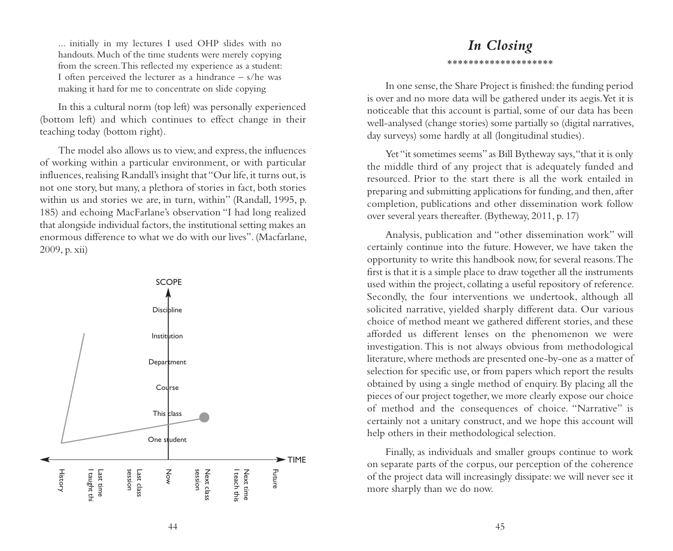... initially in my lectures I used OHP slides with no handouts. Much of the time students were merely copying from the screen. This reflected my experience as a student: I often perceived the lecturer as a hindrance – s/he was making it hard for me to concentrate on slide copying

In this a cultural norm (top left) was personally experienced (bottom left) and which continues to effect change in their teaching today (bottom right).

The model also allows us to view, and express, the influences of working within a particular environment, or with particular influences, realising Randall's insight that "Our life, it turns out, is not one story, but many, a plethora of stories in fact, both stories within us and stories we are, in turn, within" (Randall, 1995, p. 185) and echoing MacFarlane's observation "I had long realized that alongside individual factors, the institutional setting makes an enormous difference to what we do with our lives". (Macfarlane, 2009, p. xii)



#### *In Closing* \*\*\*\*\*\*\*\*\*\*\*\*\*\*\*\*\*\*\*\*

In one sense, the Share Project is finished: the funding period is over and no more data will be gathered under its aegis. Yet it is noticeable that this account is partial, some of our data has been well-analysed (change stories) some partially so (digital narratives, day surveys) some hardly at all (longitudinal studies).

Yet "it sometimes seems" as Bill Bytheway says, "that it is only the middle third of any project that is adequately funded and resourced. Prior to the start there is all the work entailed in preparing and submitting applications for funding, and then, after completion, publications and other dissemination work follow over several years thereafter. (Bytheway, 2011, p. 17)

Analysis, publication and "other dissemination work" will certainly continue into the future. However, we have taken the opportunity to write this handbook now, for several reasons. The first is that it is a simple place to draw together all the instruments used within the project, collating a useful repository of reference. Secondly, the four interventions we undertook, although all solicited narrative, yielded sharply different data. Our various choice of method meant we gathered different stories, and these afforded us different lenses on the phenomenon we were investigation. This is not always obvious from methodological literature, where methods are presented one-by-one as a matter of selection for specific use, or from papers which report the results obtained by using a single method of enquiry. By placing all the pieces of our project together, we more clearly expose our choice of method and the consequences of choice. "Narrative" is certainly not a unitary construct, and we hope this account will help others in their methodological selection.

Finally, as individuals and smaller groups continue to work on separate parts of the corpus, our perception of the coherence of the project data will increasingly dissipate: we will never see it more sharply than we do now.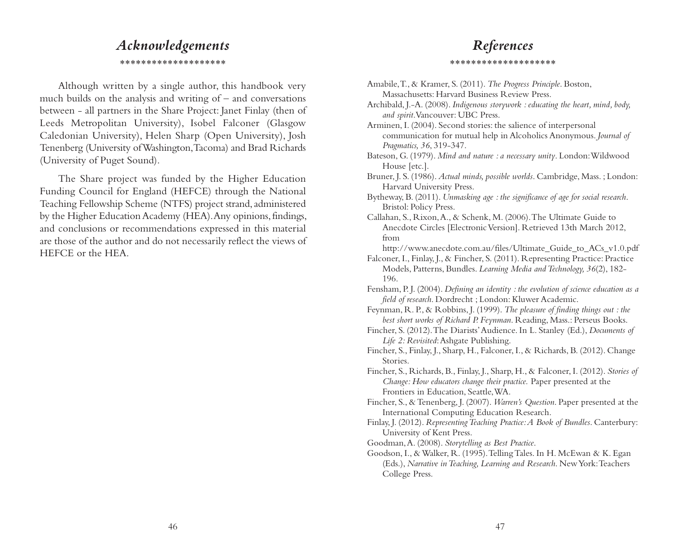#### *Acknowledgements* \*\*\*\*\*\*\*\*\*\*\*\*\*\*\*\*\*\*\*\*

Although written by a single author, this handbook very much builds on the analysis and writing of – and conversations between - all partners in the Share Project: Janet Finlay (then of Leeds Metropolitan University), Isobel Falconer (Glasgow Caledonian University), Helen Sharp (Open University), Josh Tenenberg (University of Washington, Tacoma) and Brad Richards (University of Puget Sound).

The Share project was funded by the Higher Education Funding Council for England (HEFCE) through the National Teaching Fellowship Scheme (NTFS) project strand, administered by the Higher Education Academy (HEA). Any opinions, findings, and conclusions or recommendations expressed in this material are those of the author and do not necessarily reflect the views of HEFCE or the HEA.

#### *References*

#### \*\*\*\*\*\*\*\*\*\*\*\*\*\*\*\*\*\*

- Amabile, T., & Kramer, S. (2011). *The Progress Principle*. Boston, Massachusetts: Harvard Business Review Press.
- Archibald, J.-A. (2008). *Indigenous storywork : educating the heart, mind, body, and spirit*. Vancouver: UBC Press.
- Arminen, I. (2004). Second stories: the salience of interpersonal communication for mutual help in Alcoholics Anonymous. *Journal of Pragmatics, 36*, 319-347.
- Bateson, G. (1979). *Mind and nature : a necessary unity*. London: Wildwood House [etc.].
- Bruner, J. S. (1986). *Actual minds, possible worlds*. Cambridge, Mass. ; London: Harvard University Press.
- Bytheway, B. (2011). *Unmasking age : the significance of age for social research*. Bristol: Policy Press.
- Callahan, S., Rixon, A., & Schenk, M. (2006). The Ultimate Guide to Anecdote Circles [Electronic Version]. Retrieved 13th March 2012, from
	- http://www.anecdote.com.au/files/Ultimate\_Guide\_to\_ACs\_v1.0.pdf
- Falconer, I., Finlay, J., & Fincher, S. (2011). Representing Practice: Practice Models, Patterns, Bundles. *Learning Media and Technology, 36*(2), 182- 196.
- Fensham, P. J. (2004). *Defining an identity : the evolution of science education as a field of research*. Dordrecht ; London: Kluwer Academic.
- Feynman, R. P., & Robbins, J. (1999). *The pleasure of finding things out : the best short works of Richard P. Feynman*. Reading, Mass.: Perseus Books.
- Fincher, S. (2012). The Diarists' Audience. In L. Stanley (Ed.), *Documents of Life 2: Revisited*: Ashgate Publishing.
- Fincher, S., Finlay, J., Sharp, H., Falconer, I., & Richards, B. (2012). Change Stories.
- Fincher, S., Richards, B., Finlay, J., Sharp, H., & Falconer, I. (2012). *Stories of Change: How educators change their practice.* Paper presented at the Frontiers in Education, Seattle, WA.
- Fincher, S., & Tenenberg, J. (2007). *Warren's Question*. Paper presented at the International Computing Education Research.
- Finlay, J. (2012). *Representing Teaching Practice: A Book of Bundles*. Canterbury: University of Kent Press.
- Goodman, A. (2008). *Storytelling as Best Practice*.
- Goodson, I., & Walker, R. (1995). Telling Tales. In H. McEwan & K. Egan (Eds.), *Narrative in Teaching, Learning and Research*. New York: Teachers College Press.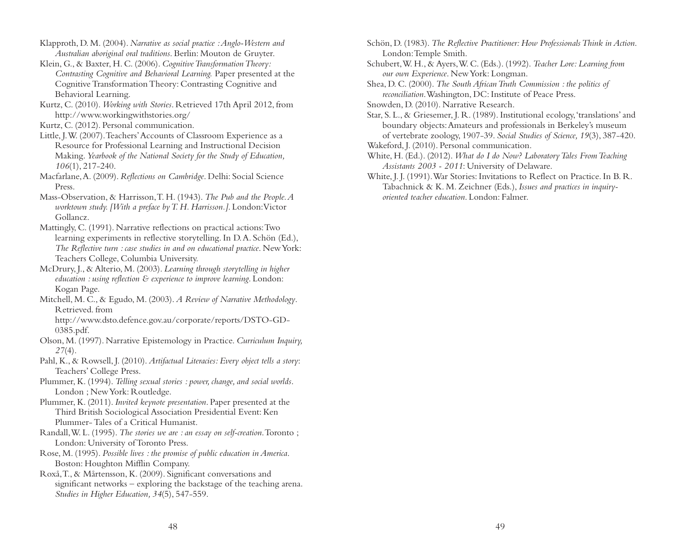Klapproth, D. M. (2004). *Narrative as social practice : Anglo-Western and Australian aboriginal oral traditions*. Berlin: Mouton de Gruyter.

- Klein, G., & Baxter, H. C. (2006). *Cognitive Transformation Theory: Contrasting Cognitive and Behavioral Learning.* Paper presented at the Cognitive Transformation Theory: Contrasting Cognitive and Behavioral Learning.
- Kurtz, C. (2010). *Working with Stories*. Retrieved 17th April 2012, from http://www.workingwithstories.org/
- Kurtz, C. (2012). Personal communication.
- Little, J. W. (2007). Teachers' Accounts of Classroom Experience as a Resource for Professional Learning and Instructional Decision Making. *Yearbook of the National Society for the Study of Education, 106*(1), 217-240.
- Macfarlane, A. (2009). *Reflections on Cambridge*. Delhi: Social Science Press.
- Mass-Observation, & Harrisson, T. H. (1943). *The Pub and the People. A worktown study. [With a preface by T. H. Harrisson.]*. London: Victor Gollancz.
- Mattingly, C. (1991). Narrative reflections on practical actions: Two learning experiments in reflective storytelling. In D. A. Schön (Ed.), *The Reflective turn : case studies in and on educational practice*. New York: Teachers College, Columbia University.
- McDrury, J., & Alterio, M. (2003). *Learning through storytelling in higher education : using reflection & experience to improve learning*. London: Kogan Page.
- Mitchell, M. C., & Egudo, M. (2003). *A Review of Narrative Methodology*. Retrieved. from

http://www.dsto.defence.gov.au/corporate/reports/DSTO-GD-0385.pdf.

- Olson, M. (1997). Narrative Epistemology in Practice. *Curriculum Inquiry, 27*(4).
- Pahl, K., & Rowsell, J. (2010). *Artifactual Literacies: Every object tells a story*: Teachers' College Press.
- Plummer, K. (1994). *Telling sexual stories : power, change, and social worlds*. London ; New York: Routledge.
- Plummer, K. (2011). *Invited keynote presentation*. Paper presented at the Third British Sociological Association Presidential Event: Ken Plummer- Tales of a Critical Humanist.
- Randall, W. L. (1995). *The stories we are : an essay on self-creation*. Toronto ; London: University of Toronto Press.
- Rose, M. (1995). *Possible lives : the promise of public education in America*. Boston: Houghton Mifflin Company.
- Roxå, T., & Mårtensson, K. (2009). Significant conversations and significant networks – exploring the backstage of the teaching arena. *Studies in Higher Education, 34*(5), 547-559.
- Schön, D. (1983). *The Reflective Practitioner: How Professionals Think in Action*. London: Temple Smith.
- Schubert, W. H., & Ayers, W. C. (Eds.). (1992). *Teacher Lore: Learning from our own Experience*. New York: Longman.
- Shea, D. C. (2000). *The South African Truth Commission : the politics of reconciliation*. Washington, DC: Institute of Peace Press.
- Snowden, D. (2010). Narrative Research.
- Star, S. L., & Griesemer, J. R. (1989). Institutional ecology, 'translations' and boundary objects: Amateurs and professionals in Berkeley's museum of vertebrate zoology, 1907-39. *Social Studies of Science, 19*(3), 387-420.

Wakeford, J. (2010). Personal communication.

- White, H. (Ed.). (2012). *What do I do Now? Laboratory Tales From Teaching Assistants 2003 - 2011*: University of Delaware.
- White, J. J. (1991). War Stories: Invitations to Reflect on Practice. In B. R. Tabachnick & K. M. Zeichner (Eds.), *Issues and practices in inquiryoriented teacher education*. London: Falmer.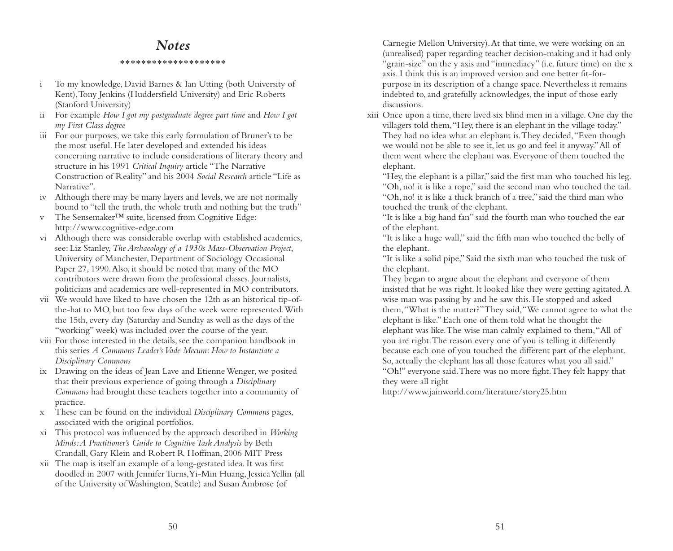#### *Notes*

#### \*\*\*\*\*\*\*\*\*\*\*\*\*\*\*\*\*\*\*\*

- i To my knowledge, David Barnes & Ian Utting (both University of Kent), Tony Jenkins (Huddersfield University) and Eric Roberts (Stanford University)
- ii For example *How I got my postgraduate degree part time* and *How I got my First Class degree*
- iii For our purposes, we take this early formulation of Bruner's to be the most useful. He later developed and extended his ideas concerning narrative to include considerations of literary theory and structure in his 1991 *Critical Inquiry* article "The Narrative Construction of Reality" and his 2004 *Social Research* article "Life as Narrative".
- iv Although there may be many layers and levels, we are not normally bound to "tell the truth, the whole truth and nothing but the truth"
- v The Sensemaker™ suite, licensed from Cognitive Edge: http://www.cognitive-edge.com
- vi Although there was considerable overlap with established academics, see: Liz Stanley, *The Archaeology of a 1930s Mass-Observation Project*, University of Manchester, Department of Sociology Occasional Paper 27, 1990. Also, it should be noted that many of the MO contributors were drawn from the professional classes. Journalists, politicians and academics are well-represented in MO contributors.
- vii We would have liked to have chosen the 12th as an historical tip-ofthe-hat to MO, but too few days of the week were represented. With the 15th, every day (Saturday and Sunday as well as the days of the "working" week) was included over the course of the year.
- viii For those interested in the details, see the companion handbook in this series *A Commons Leader's Vade Mecum: How to Instantiate a Disciplinary Commons*
- ix Drawing on the ideas of Jean Lave and Etienne Wenger, we posited that their previous experience of going through a *Disciplinary Commons* had brought these teachers together into a community of practice.
- x These can be found on the individual *Disciplinary Commons* pages, associated with the original portfolios.
- xi This protocol was influenced by the approach described in *Working Minds: A Practitioner's Guide to Cognitive Task Analysis* by Beth Crandall, Gary Klein and Robert R Hoffman, 2006 MIT Press
- xii The map is itself an example of a long-gestated idea. It was first doodled in 2007 with Jennifer Turns, Yi-Min Huang, Jessica Yellin (all of the University of Washington, Seattle) and Susan Ambrose (of

Carnegie Mellon University). At that time, we were working on an (unrealised) paper regarding teacher decision-making and it had only "grain-size" on the y axis and "immediacy" (i.e. future time) on the x axis. I think this is an improved version and one better fit-forpurpose in its description of a change space. Nevertheless it remains indebted to, and gratefully acknowledges, the input of those early discussions.

xiii Once upon a time, there lived six blind men in a village. One day the villagers told them, "Hey, there is an elephant in the village today." They had no idea what an elephant is. They decided, "Even though we would not be able to see it, let us go and feel it anyway." All of them went where the elephant was. Everyone of them touched the elephant.

"Hey, the elephant is a pillar," said the first man who touched his leg. "Oh, no! it is like a rope," said the second man who touched the tail. "Oh, no! it is like a thick branch of a tree," said the third man who touched the trunk of the elephant.

"It is like a big hand fan" said the fourth man who touched the ear of the elephant.

"It is like a huge wall," said the fifth man who touched the belly of the elephant.

"It is like a solid pipe," Said the sixth man who touched the tusk of the elephant.

They began to argue about the elephant and everyone of them insisted that he was right. It looked like they were getting agitated. A wise man was passing by and he saw this. He stopped and asked them, "What is the matter?" They said, "We cannot agree to what the elephant is like." Each one of them told what he thought the elephant was like. The wise man calmly explained to them, "All of you are right. The reason every one of you is telling it differently because each one of you touched the different part of the elephant. So, actually the elephant has all those features what you all said." "Oh!" everyone said. There was no more fight. They felt happy that they were all right

http://www.jainworld.com/literature/story25.htm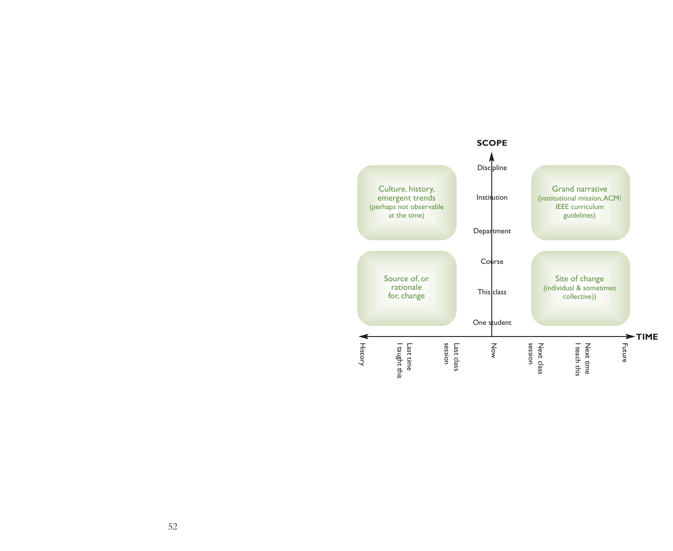